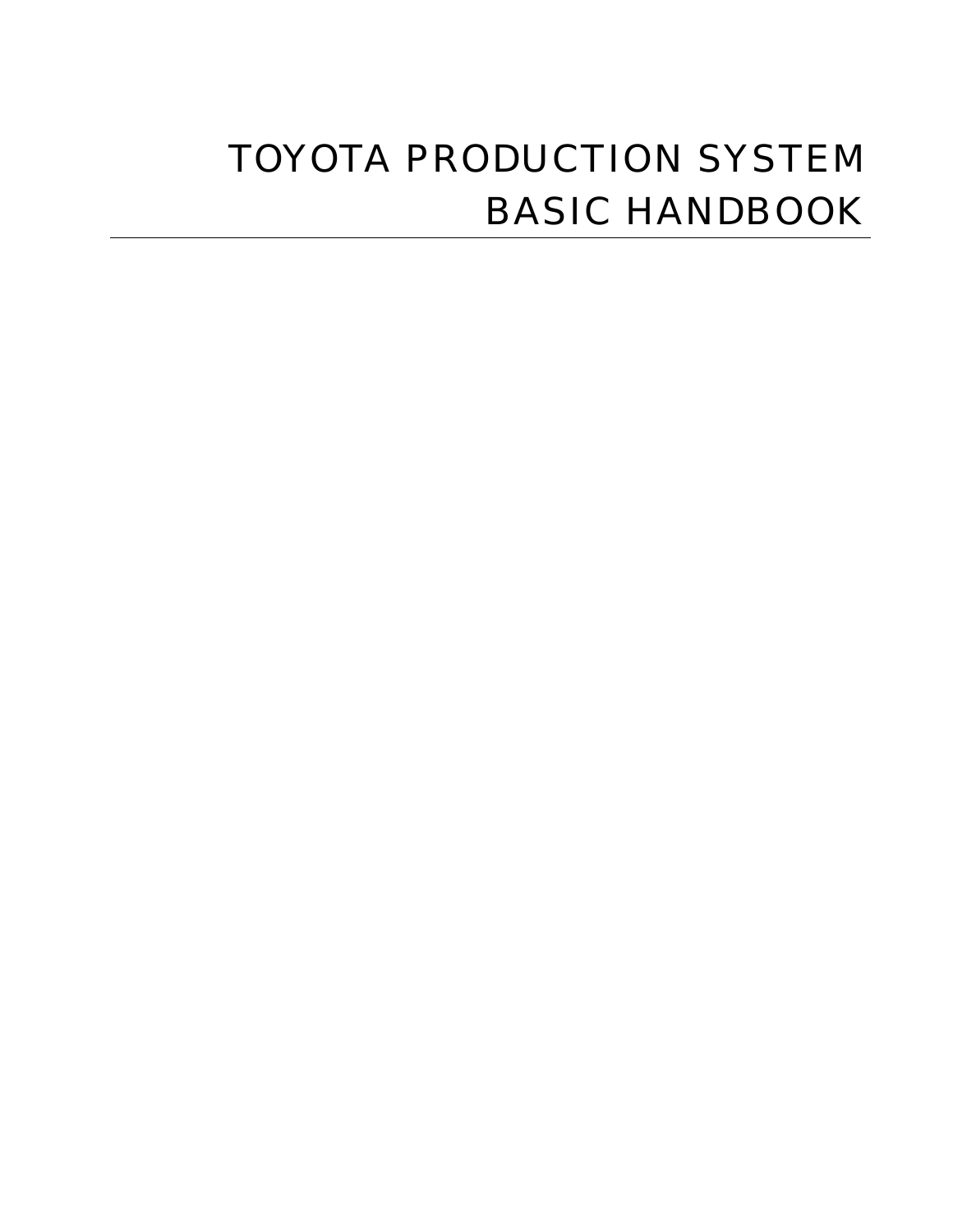# TOYOTA PRODUCTION SYSTEM BASIC HANDBOOK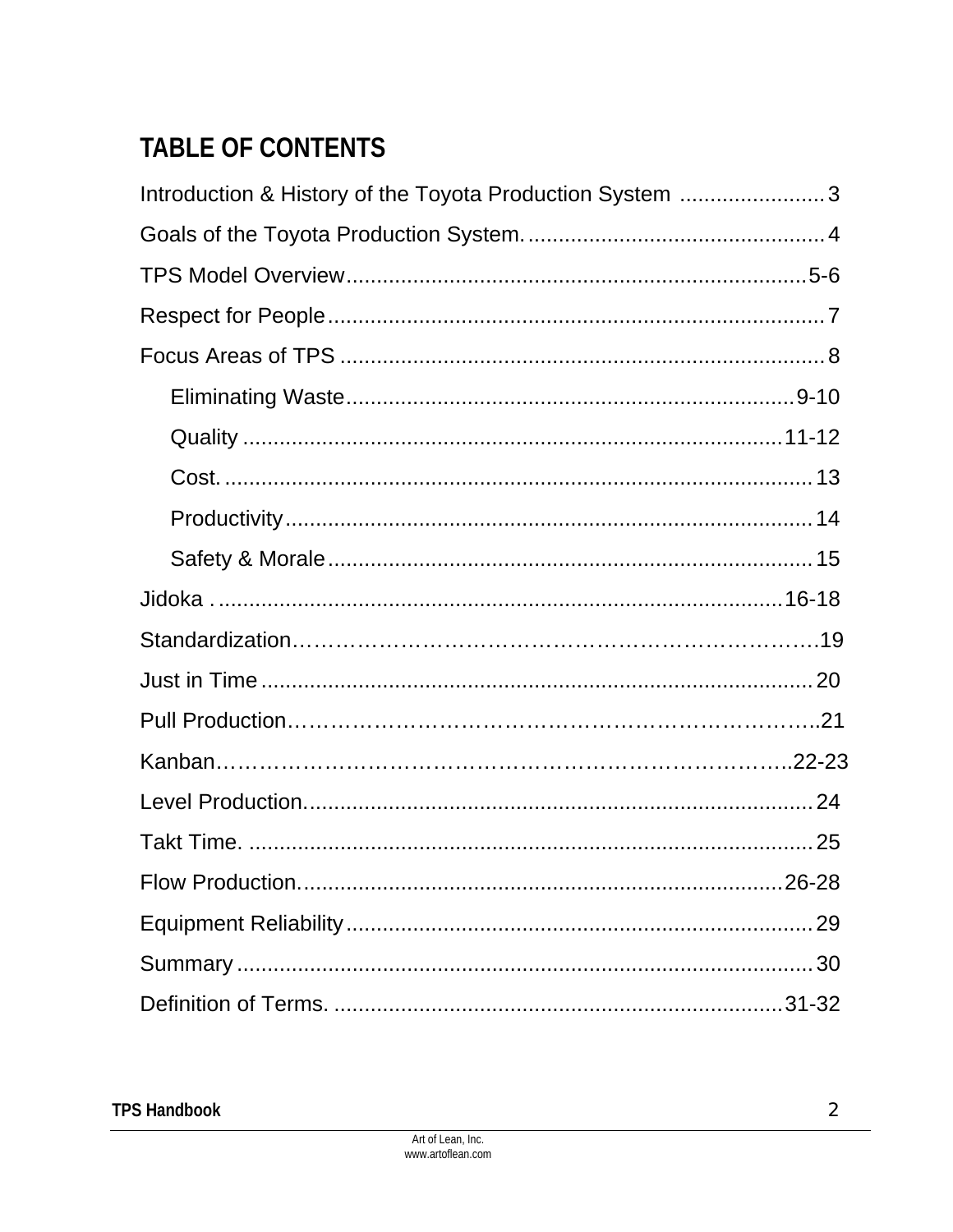## **TABLE OF CONTENTS**

| Introduction & History of the Toyota Production System 3 |
|----------------------------------------------------------|
|                                                          |
|                                                          |
|                                                          |
|                                                          |
|                                                          |
|                                                          |
|                                                          |
|                                                          |
|                                                          |
|                                                          |
|                                                          |
|                                                          |
|                                                          |
|                                                          |
|                                                          |
|                                                          |
|                                                          |
| 29                                                       |
|                                                          |
|                                                          |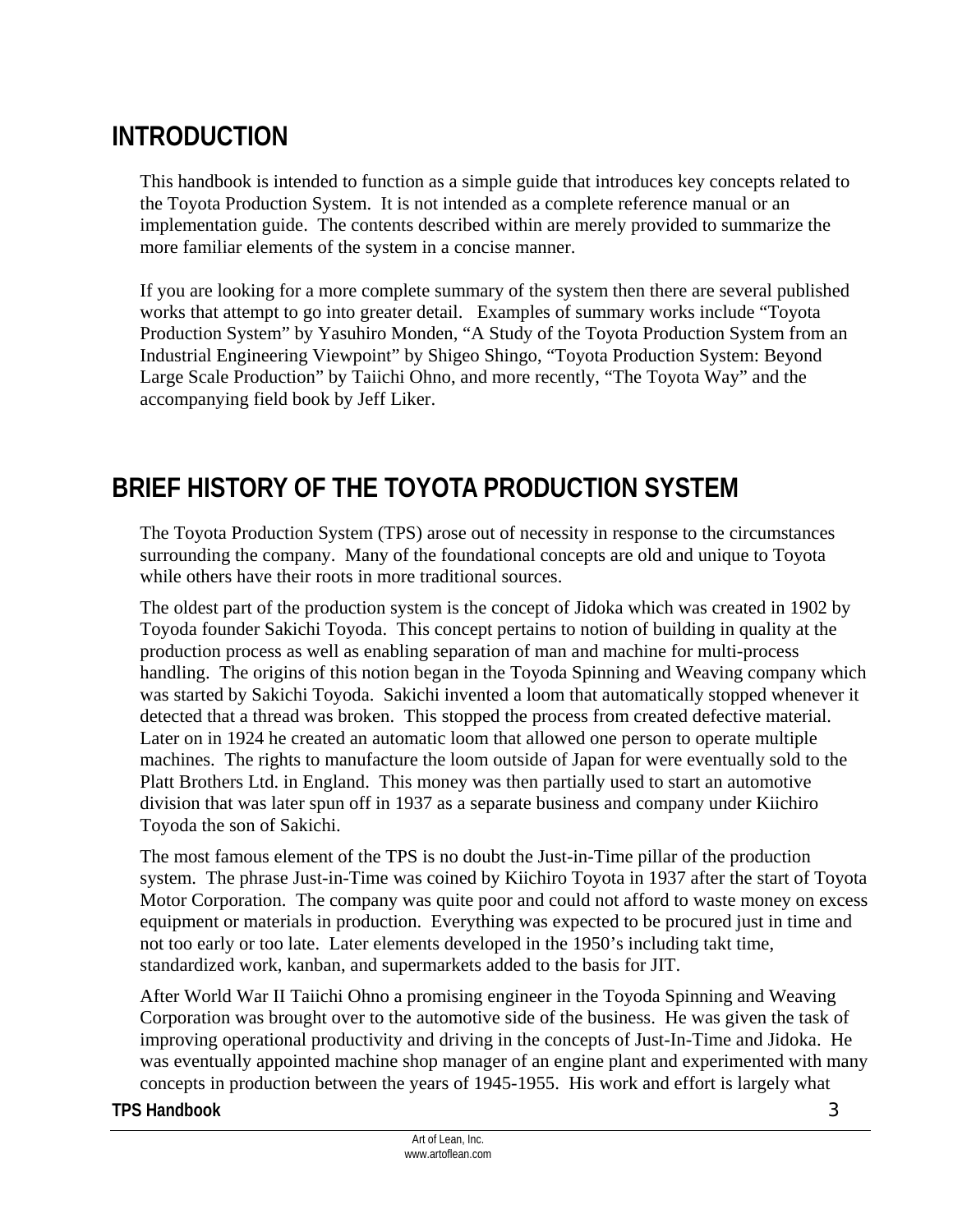## **INTRODUCTION**

This handbook is intended to function as a simple guide that introduces key concepts related to the Toyota Production System. It is not intended as a complete reference manual or an implementation guide. The contents described within are merely provided to summarize the more familiar elements of the system in a concise manner.

If you are looking for a more complete summary of the system then there are several published works that attempt to go into greater detail. Examples of summary works include "Toyota Production System" by Yasuhiro Monden, "A Study of the Toyota Production System from an Industrial Engineering Viewpoint" by Shigeo Shingo, "Toyota Production System: Beyond Large Scale Production" by Taiichi Ohno, and more recently, "The Toyota Way" and the accompanying field book by Jeff Liker.

## **BRIEF HISTORY OF THE TOYOTA PRODUCTION SYSTEM**

The Toyota Production System (TPS) arose out of necessity in response to the circumstances surrounding the company. Many of the foundational concepts are old and unique to Toyota while others have their roots in more traditional sources.

The oldest part of the production system is the concept of Jidoka which was created in 1902 by Toyoda founder Sakichi Toyoda. This concept pertains to notion of building in quality at the production process as well as enabling separation of man and machine for multi-process handling. The origins of this notion began in the Toyoda Spinning and Weaving company which was started by Sakichi Toyoda. Sakichi invented a loom that automatically stopped whenever it detected that a thread was broken. This stopped the process from created defective material. Later on in 1924 he created an automatic loom that allowed one person to operate multiple machines. The rights to manufacture the loom outside of Japan for were eventually sold to the Platt Brothers Ltd. in England. This money was then partially used to start an automotive division that was later spun off in 1937 as a separate business and company under Kiichiro Toyoda the son of Sakichi.

The most famous element of the TPS is no doubt the Just-in-Time pillar of the production system. The phrase Just-in-Time was coined by Kiichiro Toyota in 1937 after the start of Toyota Motor Corporation. The company was quite poor and could not afford to waste money on excess equipment or materials in production. Everything was expected to be procured just in time and not too early or too late. Later elements developed in the 1950's including takt time, standardized work, kanban, and supermarkets added to the basis for JIT.

After World War II Taiichi Ohno a promising engineer in the Toyoda Spinning and Weaving Corporation was brought over to the automotive side of the business. He was given the task of improving operational productivity and driving in the concepts of Just-In-Time and Jidoka. He was eventually appointed machine shop manager of an engine plant and experimented with many concepts in production between the years of 1945-1955. His work and effort is largely what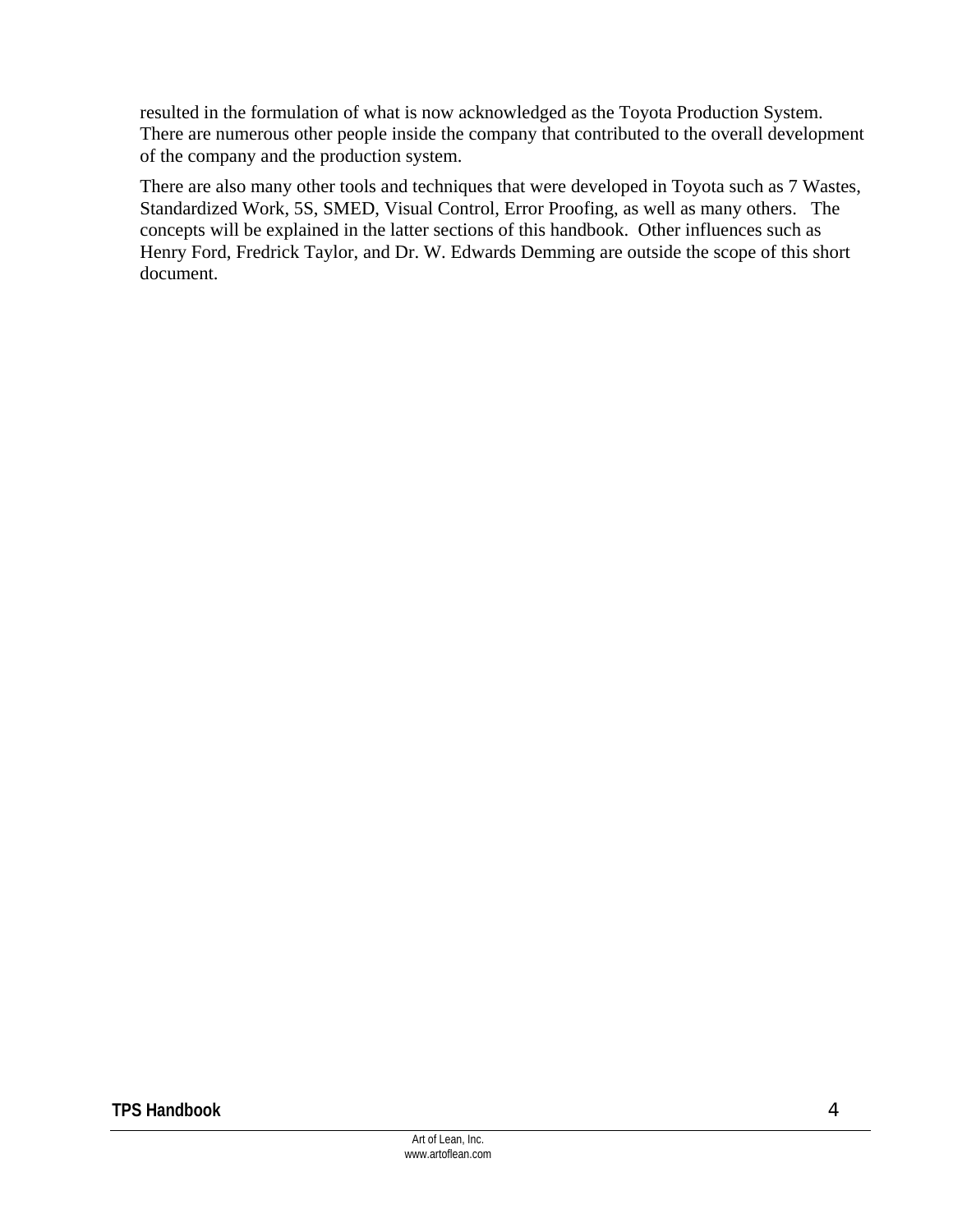resulted in the formulation of what is now acknowledged as the Toyota Production System. There are numerous other people inside the company that contributed to the overall development of the company and the production system.

There are also many other tools and techniques that were developed in Toyota such as 7 Wastes, Standardized Work, 5S, SMED, Visual Control, Error Proofing, as well as many others. The concepts will be explained in the latter sections of this handbook. Other influences such as Henry Ford, Fredrick Taylor, and Dr. W. Edwards Demming are outside the scope of this short document.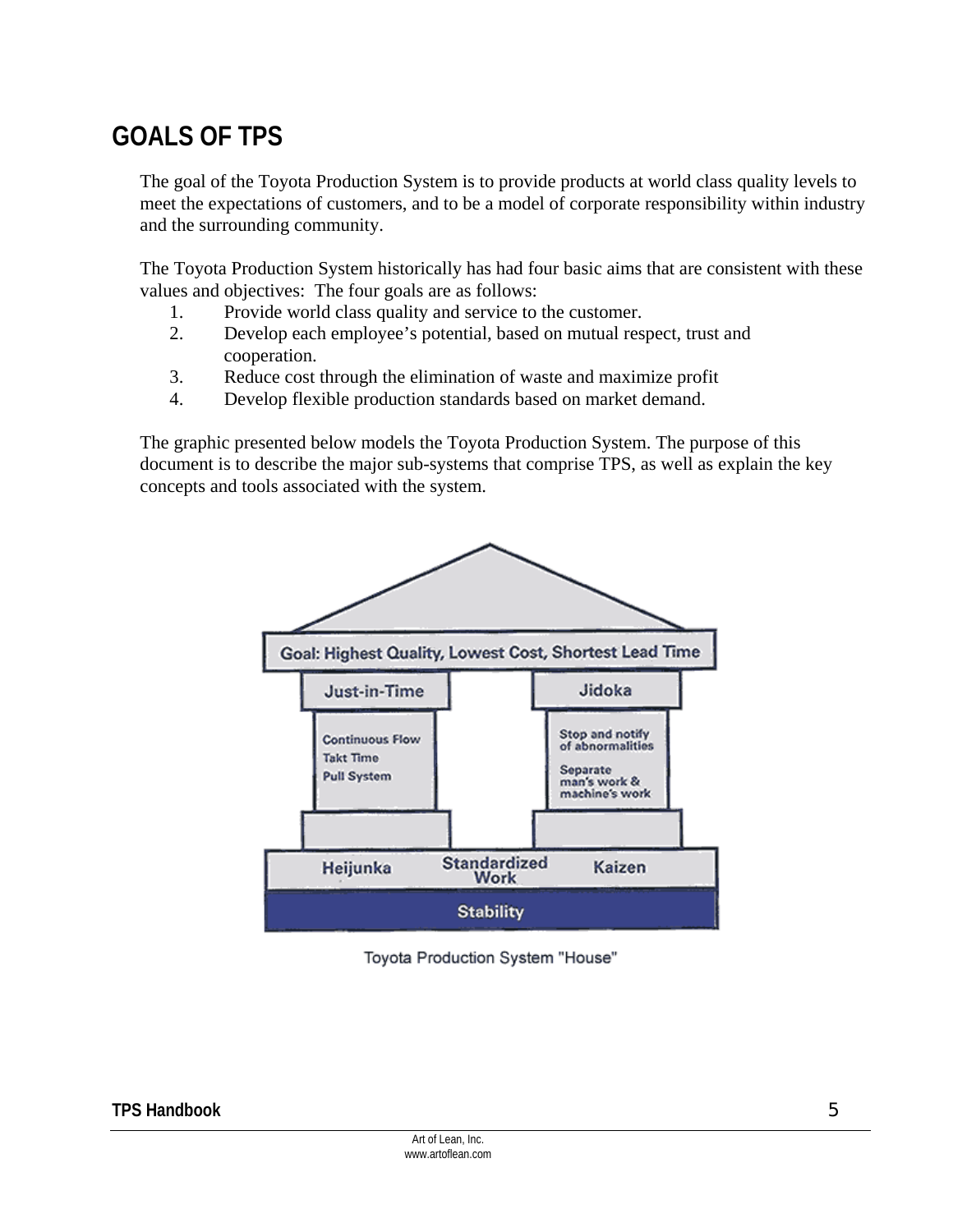## **GOALS OF TPS**

The goal of the Toyota Production System is to provide products at world class quality levels to meet the expectations of customers, and to be a model of corporate responsibility within industry and the surrounding community.

The Toyota Production System historically has had four basic aims that are consistent with these values and objectives: The four goals are as follows:

- 1. Provide world class quality and service to the customer.
- 2. Develop each employee's potential, based on mutual respect, trust and cooperation.
- 3. Reduce cost through the elimination of waste and maximize profit
- 4. Develop flexible production standards based on market demand.

The graphic presented below models the Toyota Production System. The purpose of this document is to describe the major sub-systems that comprise TPS, as well as explain the key concepts and tools associated with the system.



Toyota Production System "House"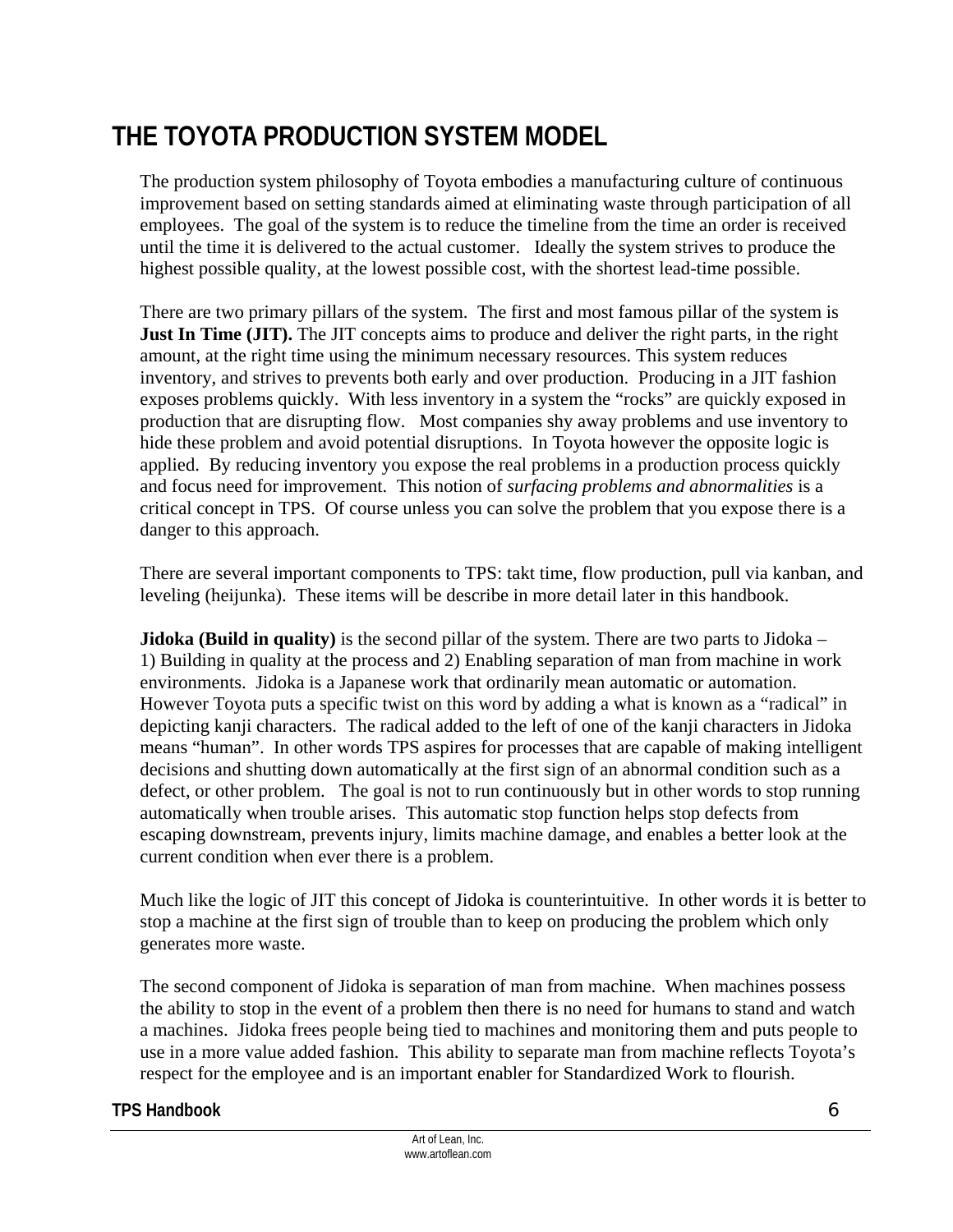## **THE TOYOTA PRODUCTION SYSTEM MODEL**

The production system philosophy of Toyota embodies a manufacturing culture of continuous improvement based on setting standards aimed at eliminating waste through participation of all employees. The goal of the system is to reduce the timeline from the time an order is received until the time it is delivered to the actual customer. Ideally the system strives to produce the highest possible quality, at the lowest possible cost, with the shortest lead-time possible.

There are two primary pillars of the system. The first and most famous pillar of the system is **Just In Time (JIT).** The JIT concepts aims to produce and deliver the right parts, in the right amount, at the right time using the minimum necessary resources. This system reduces inventory, and strives to prevents both early and over production. Producing in a JIT fashion exposes problems quickly. With less inventory in a system the "rocks" are quickly exposed in production that are disrupting flow. Most companies shy away problems and use inventory to hide these problem and avoid potential disruptions. In Toyota however the opposite logic is applied. By reducing inventory you expose the real problems in a production process quickly and focus need for improvement. This notion of *surfacing problems and abnormalities* is a critical concept in TPS. Of course unless you can solve the problem that you expose there is a danger to this approach.

There are several important components to TPS: takt time, flow production, pull via kanban, and leveling (heijunka). These items will be describe in more detail later in this handbook.

**Jidoka (Build in quality)** is the second pillar of the system. There are two parts to Jidoka – 1) Building in quality at the process and 2) Enabling separation of man from machine in work environments. Jidoka is a Japanese work that ordinarily mean automatic or automation. However Toyota puts a specific twist on this word by adding a what is known as a "radical" in depicting kanji characters. The radical added to the left of one of the kanji characters in Jidoka means "human". In other words TPS aspires for processes that are capable of making intelligent decisions and shutting down automatically at the first sign of an abnormal condition such as a defect, or other problem. The goal is not to run continuously but in other words to stop running automatically when trouble arises. This automatic stop function helps stop defects from escaping downstream, prevents injury, limits machine damage, and enables a better look at the current condition when ever there is a problem.

Much like the logic of JIT this concept of Jidoka is counterintuitive. In other words it is better to stop a machine at the first sign of trouble than to keep on producing the problem which only generates more waste.

The second component of Jidoka is separation of man from machine. When machines possess the ability to stop in the event of a problem then there is no need for humans to stand and watch a machines. Jidoka frees people being tied to machines and monitoring them and puts people to use in a more value added fashion. This ability to separate man from machine reflects Toyota's respect for the employee and is an important enabler for Standardized Work to flourish.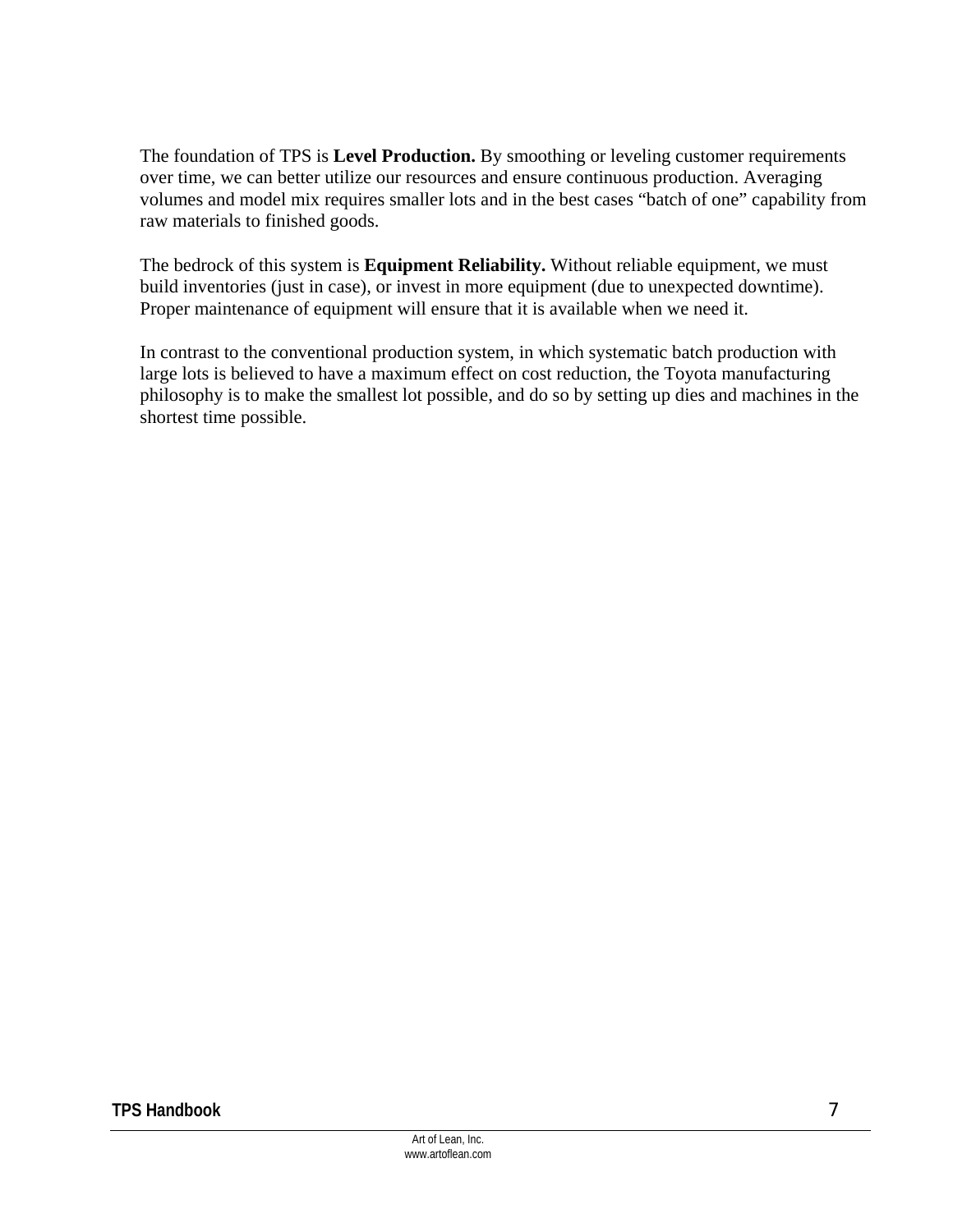The foundation of TPS is **Level Production.** By smoothing or leveling customer requirements over time, we can better utilize our resources and ensure continuous production. Averaging volumes and model mix requires smaller lots and in the best cases "batch of one" capability from raw materials to finished goods.

The bedrock of this system is **Equipment Reliability.** Without reliable equipment, we must build inventories (just in case), or invest in more equipment (due to unexpected downtime). Proper maintenance of equipment will ensure that it is available when we need it.

In contrast to the conventional production system, in which systematic batch production with large lots is believed to have a maximum effect on cost reduction, the Toyota manufacturing philosophy is to make the smallest lot possible, and do so by setting up dies and machines in the shortest time possible.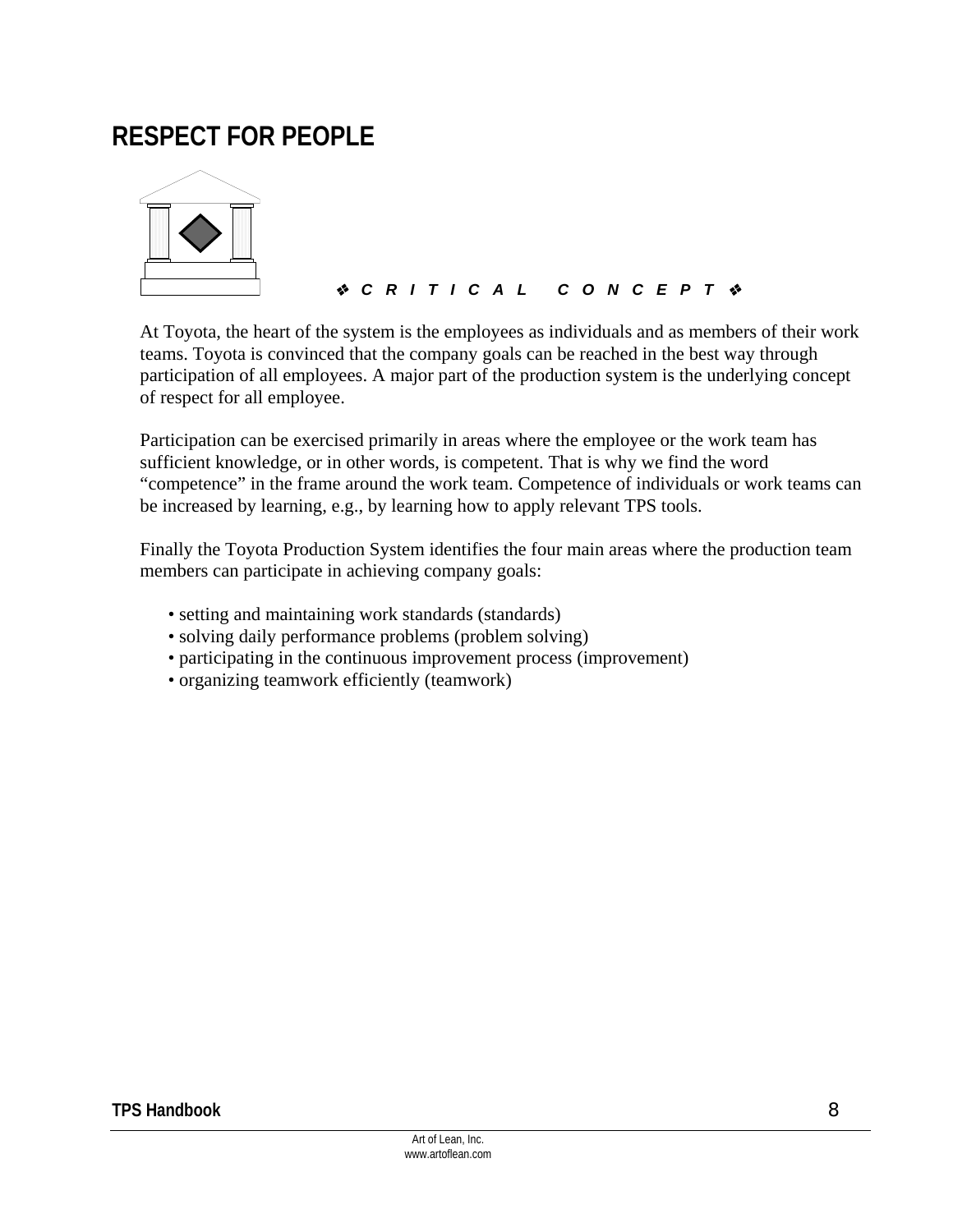## **RESPECT FOR PEOPLE**



### *CRITICAL CONCEPT*

At Toyota, the heart of the system is the employees as individuals and as members of their work teams. Toyota is convinced that the company goals can be reached in the best way through participation of all employees. A major part of the production system is the underlying concept of respect for all employee.

Participation can be exercised primarily in areas where the employee or the work team has sufficient knowledge, or in other words, is competent. That is why we find the word "competence" in the frame around the work team. Competence of individuals or work teams can be increased by learning, e.g., by learning how to apply relevant TPS tools.

Finally the Toyota Production System identifies the four main areas where the production team members can participate in achieving company goals:

- setting and maintaining work standards (standards)
- solving daily performance problems (problem solving)
- participating in the continuous improvement process (improvement)
- organizing teamwork efficiently (teamwork)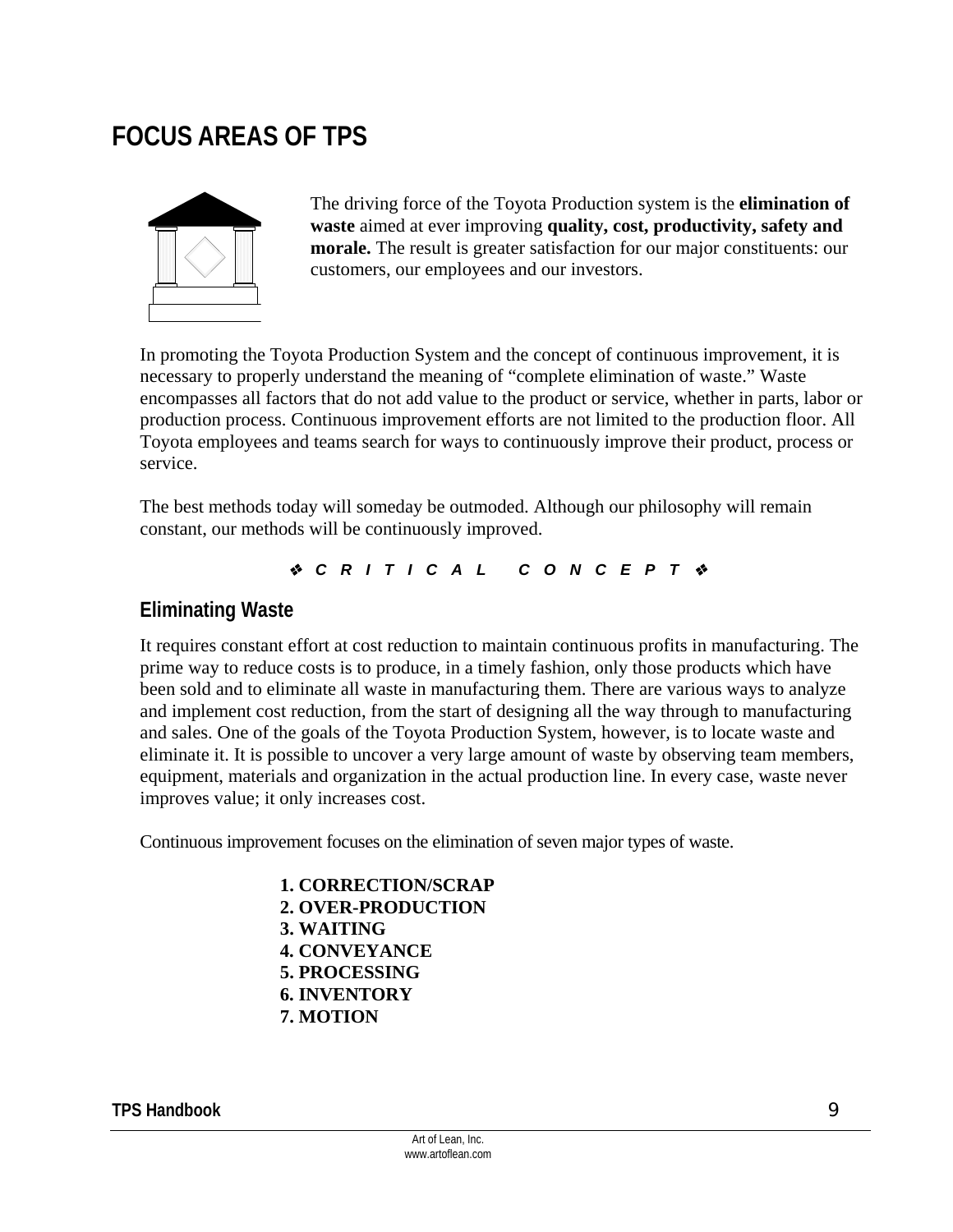## **FOCUS AREAS OF TPS**



The driving force of the Toyota Production system is the **elimination of waste** aimed at ever improving **quality, cost, productivity, safety and morale.** The result is greater satisfaction for our major constituents: our customers, our employees and our investors.

In promoting the Toyota Production System and the concept of continuous improvement, it is necessary to properly understand the meaning of "complete elimination of waste." Waste encompasses all factors that do not add value to the product or service, whether in parts, labor or production process. Continuous improvement efforts are not limited to the production floor. All Toyota employees and teams search for ways to continuously improve their product, process or service.

The best methods today will someday be outmoded. Although our philosophy will remain constant, our methods will be continuously improved.

*CRITICAL CONCEPT*

#### **Eliminating Waste**

It requires constant effort at cost reduction to maintain continuous profits in manufacturing. The prime way to reduce costs is to produce, in a timely fashion, only those products which have been sold and to eliminate all waste in manufacturing them. There are various ways to analyze and implement cost reduction, from the start of designing all the way through to manufacturing and sales. One of the goals of the Toyota Production System, however, is to locate waste and eliminate it. It is possible to uncover a very large amount of waste by observing team members, equipment, materials and organization in the actual production line. In every case, waste never improves value; it only increases cost.

Continuous improvement focuses on the elimination of seven major types of waste.

 **1. CORRECTION/SCRAP 2. OVER-PRODUCTION 3. WAITING 4. CONVEYANCE 5. PROCESSING 6. INVENTORY 7. MOTION**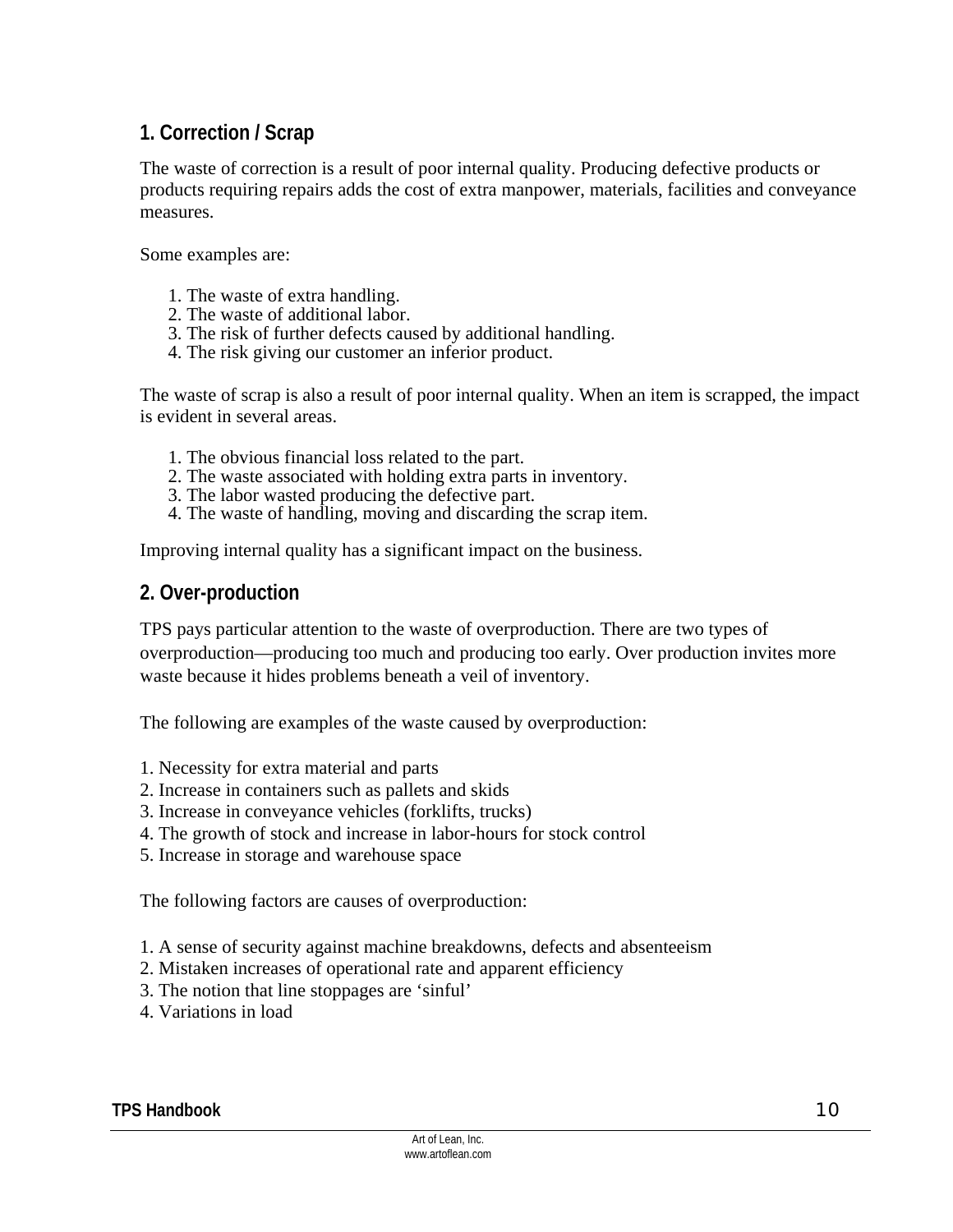## **1. Correction / Scrap**

The waste of correction is a result of poor internal quality. Producing defective products or products requiring repairs adds the cost of extra manpower, materials, facilities and conveyance measures.

Some examples are:

- 1. The waste of extra handling.
- 2. The waste of additional labor.
- 3. The risk of further defects caused by additional handling.
- 4. The risk giving our customer an inferior product.

The waste of scrap is also a result of poor internal quality. When an item is scrapped, the impact is evident in several areas.

- 1. The obvious financial loss related to the part.
- 2. The waste associated with holding extra parts in inventory.
- 3. The labor wasted producing the defective part.
- 4. The waste of handling, moving and discarding the scrap item.

Improving internal quality has a significant impact on the business.

#### **2. Over-production**

TPS pays particular attention to the waste of overproduction. There are two types of overproduction—producing too much and producing too early. Over production invites more waste because it hides problems beneath a veil of inventory.

The following are examples of the waste caused by overproduction:

- 1. Necessity for extra material and parts
- 2. Increase in containers such as pallets and skids
- 3. Increase in conveyance vehicles (forklifts, trucks)
- 4. The growth of stock and increase in labor-hours for stock control
- 5. Increase in storage and warehouse space

The following factors are causes of overproduction:

- 1. A sense of security against machine breakdowns, defects and absenteeism
- 2. Mistaken increases of operational rate and apparent efficiency
- 3. The notion that line stoppages are 'sinful'
- 4. Variations in load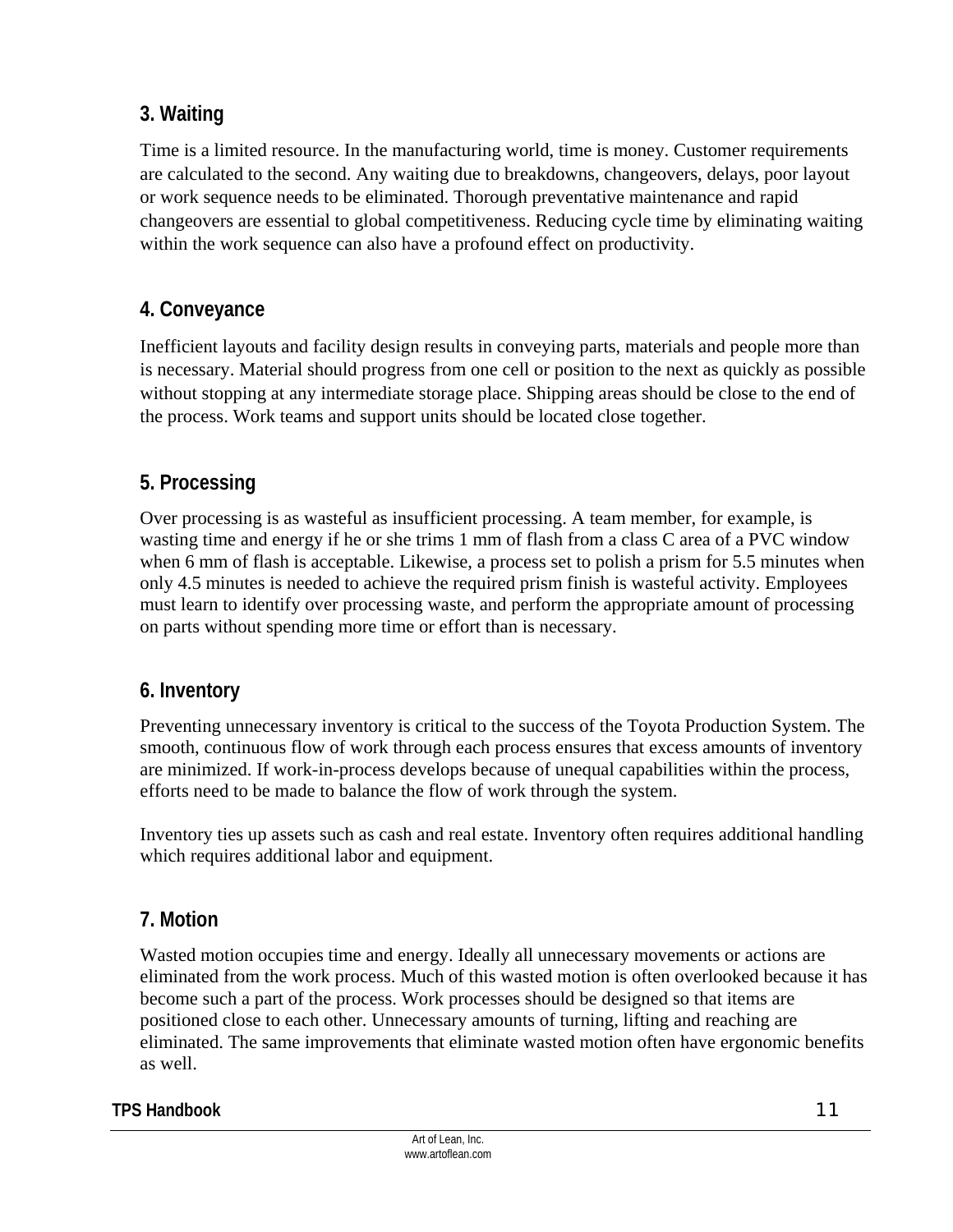## **3. Waiting**

Time is a limited resource. In the manufacturing world, time is money. Customer requirements are calculated to the second. Any waiting due to breakdowns, changeovers, delays, poor layout or work sequence needs to be eliminated. Thorough preventative maintenance and rapid changeovers are essential to global competitiveness. Reducing cycle time by eliminating waiting within the work sequence can also have a profound effect on productivity.

## **4. Conveyance**

Inefficient layouts and facility design results in conveying parts, materials and people more than is necessary. Material should progress from one cell or position to the next as quickly as possible without stopping at any intermediate storage place. Shipping areas should be close to the end of the process. Work teams and support units should be located close together.

## **5. Processing**

Over processing is as wasteful as insufficient processing. A team member, for example, is wasting time and energy if he or she trims 1 mm of flash from a class C area of a PVC window when 6 mm of flash is acceptable. Likewise, a process set to polish a prism for 5.5 minutes when only 4.5 minutes is needed to achieve the required prism finish is wasteful activity. Employees must learn to identify over processing waste, and perform the appropriate amount of processing on parts without spending more time or effort than is necessary.

### **6. Inventory**

Preventing unnecessary inventory is critical to the success of the Toyota Production System. The smooth, continuous flow of work through each process ensures that excess amounts of inventory are minimized. If work-in-process develops because of unequal capabilities within the process, efforts need to be made to balance the flow of work through the system.

Inventory ties up assets such as cash and real estate. Inventory often requires additional handling which requires additional labor and equipment.

## **7. Motion**

Wasted motion occupies time and energy. Ideally all unnecessary movements or actions are eliminated from the work process. Much of this wasted motion is often overlooked because it has become such a part of the process. Work processes should be designed so that items are positioned close to each other. Unnecessary amounts of turning, lifting and reaching are eliminated. The same improvements that eliminate wasted motion often have ergonomic benefits as well.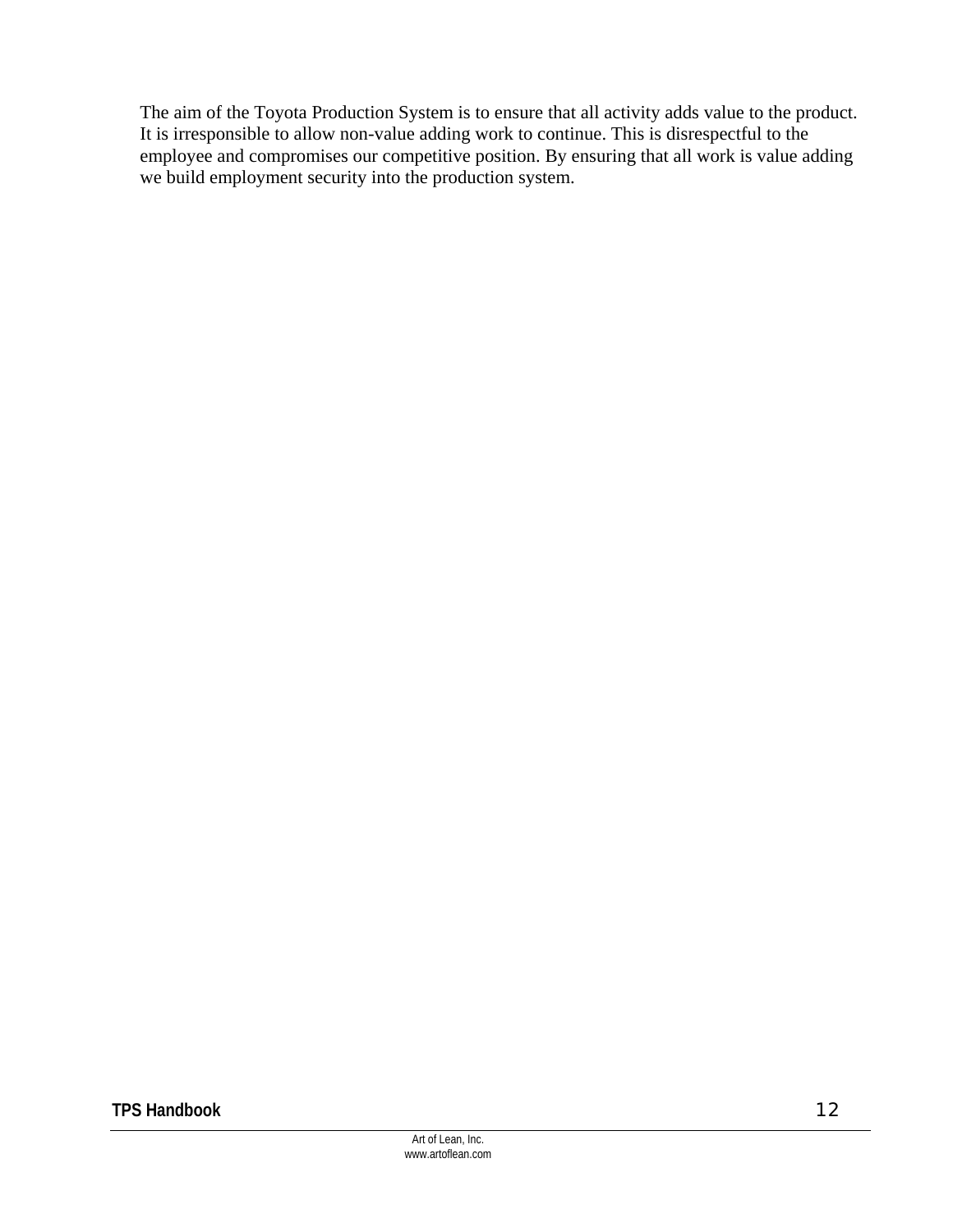The aim of the Toyota Production System is to ensure that all activity adds value to the product. It is irresponsible to allow non-value adding work to continue. This is disrespectful to the employee and compromises our competitive position. By ensuring that all work is value adding we build employment security into the production system.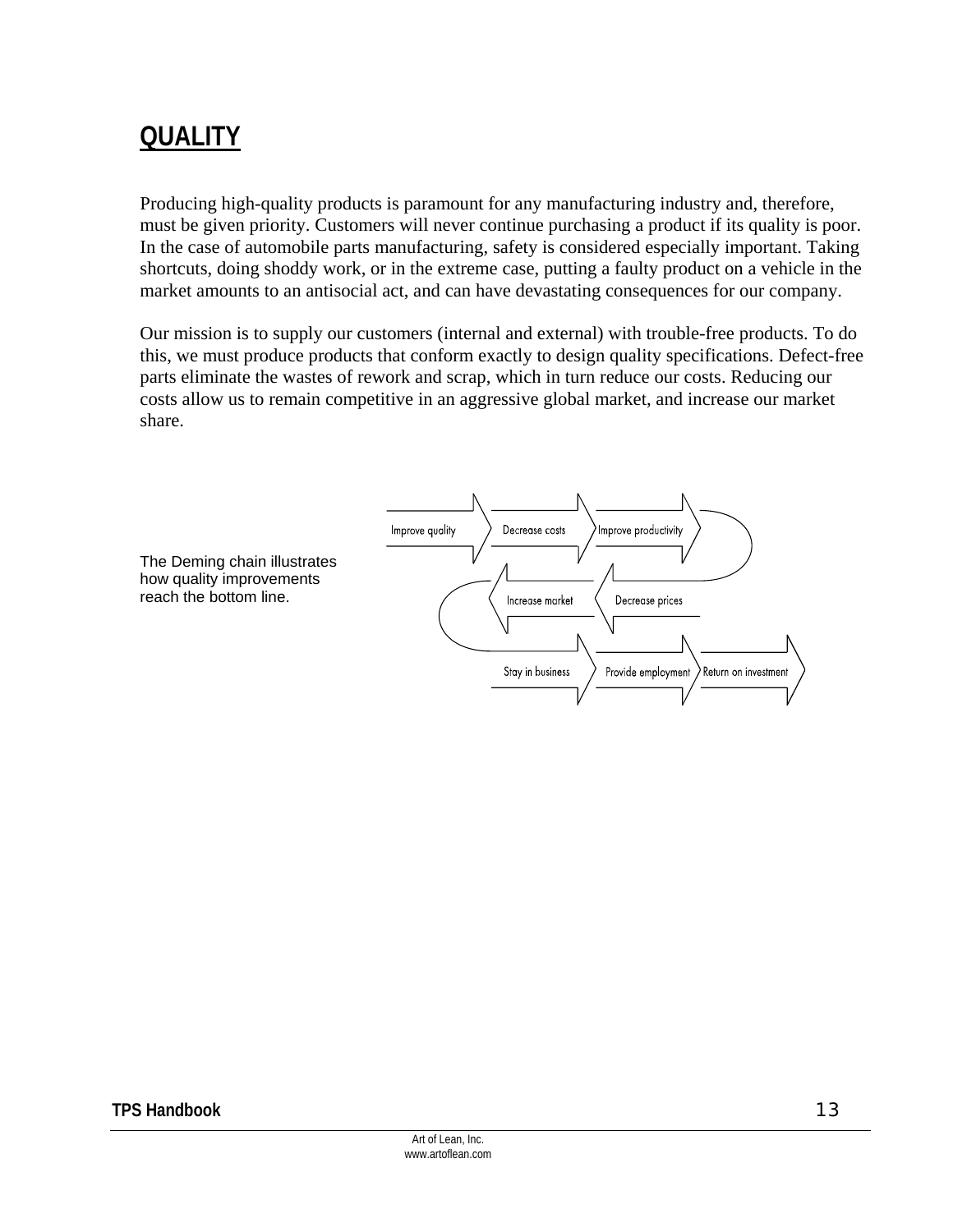## **QUALITY**

Producing high-quality products is paramount for any manufacturing industry and, therefore, must be given priority. Customers will never continue purchasing a product if its quality is poor. In the case of automobile parts manufacturing, safety is considered especially important. Taking shortcuts, doing shoddy work, or in the extreme case, putting a faulty product on a vehicle in the market amounts to an antisocial act, and can have devastating consequences for our company.

Our mission is to supply our customers (internal and external) with trouble-free products. To do this, we must produce products that conform exactly to design quality specifications. Defect-free parts eliminate the wastes of rework and scrap, which in turn reduce our costs. Reducing our costs allow us to remain competitive in an aggressive global market, and increase our market share.

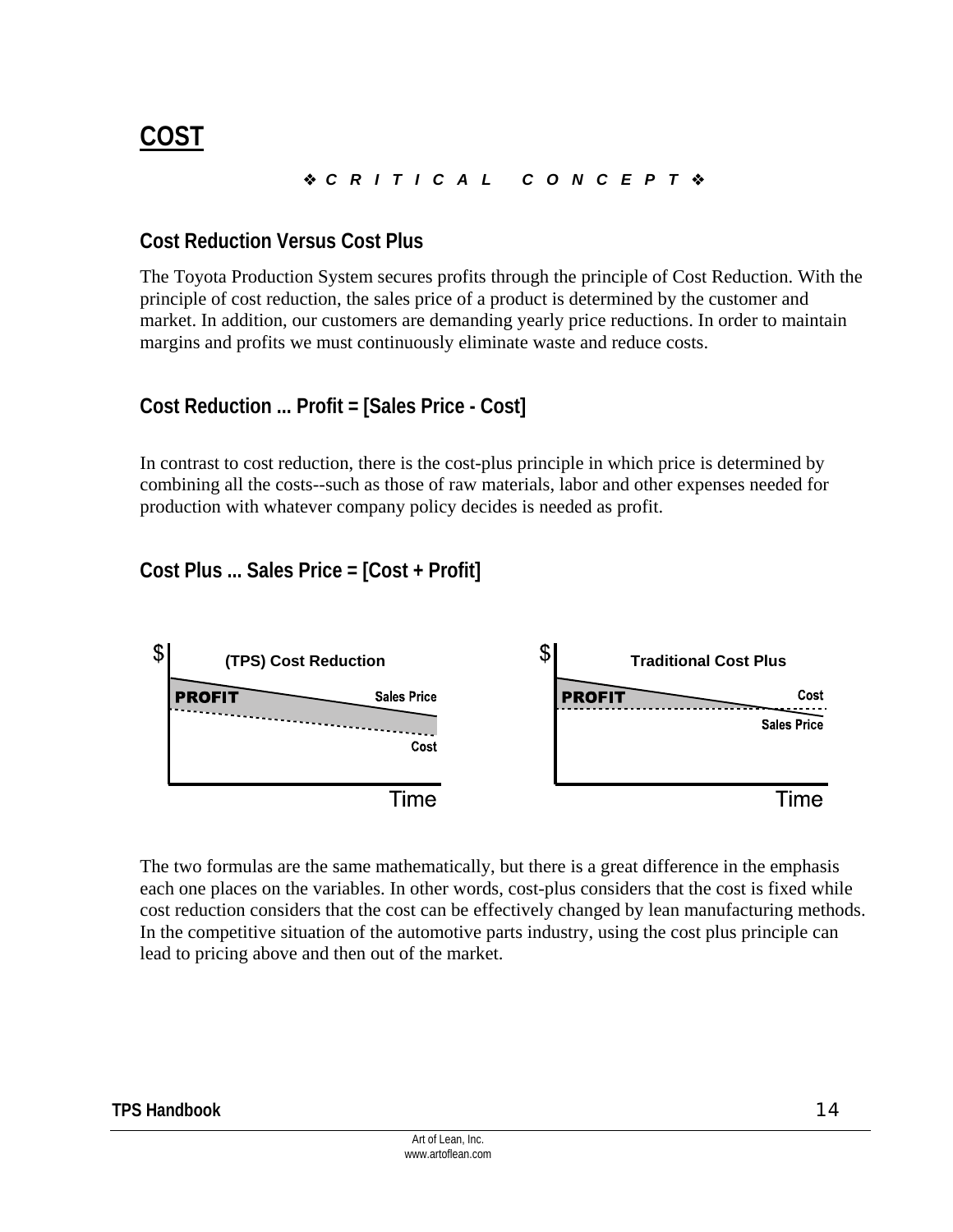## **COST**

### *CRITICAL CONCEPT*

### **Cost Reduction Versus Cost Plus**

The Toyota Production System secures profits through the principle of Cost Reduction. With the principle of cost reduction, the sales price of a product is determined by the customer and market. In addition, our customers are demanding yearly price reductions. In order to maintain margins and profits we must continuously eliminate waste and reduce costs.

### **Cost Reduction ... Profit = [Sales Price - Cost]**

In contrast to cost reduction, there is the cost-plus principle in which price is determined by combining all the costs--such as those of raw materials, labor and other expenses needed for production with whatever company policy decides is needed as profit.

### **Cost Plus ... Sales Price = [Cost + Profit]**



The two formulas are the same mathematically, but there is a great difference in the emphasis each one places on the variables. In other words, cost-plus considers that the cost is fixed while cost reduction considers that the cost can be effectively changed by lean manufacturing methods. In the competitive situation of the automotive parts industry, using the cost plus principle can lead to pricing above and then out of the market.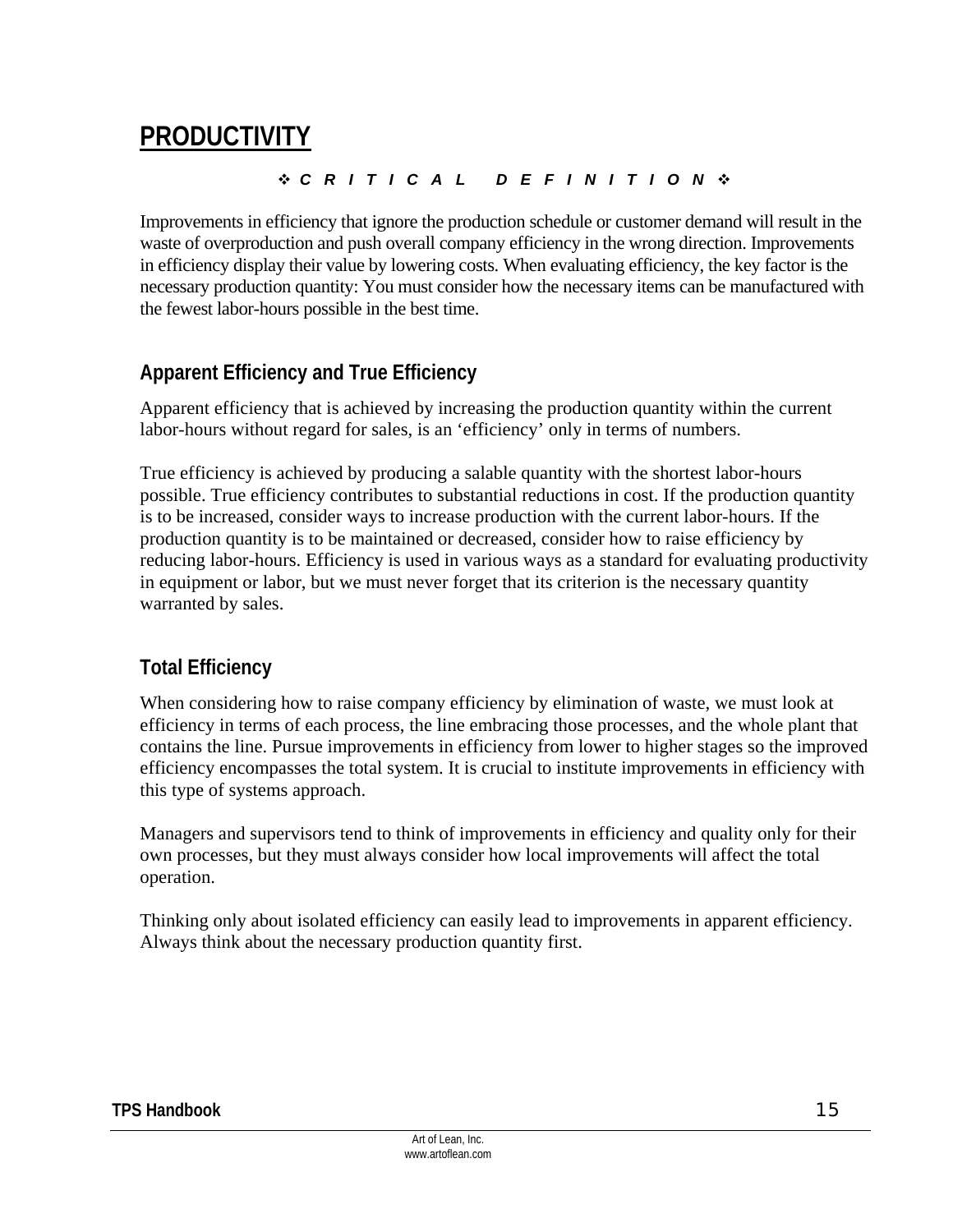## **PRODUCTIVITY**

#### *CRITICAL DEFINITION*

Improvements in efficiency that ignore the production schedule or customer demand will result in the waste of overproduction and push overall company efficiency in the wrong direction. Improvements in efficiency display their value by lowering costs. When evaluating efficiency, the key factor is the necessary production quantity: You must consider how the necessary items can be manufactured with the fewest labor-hours possible in the best time.

## **Apparent Efficiency and True Efficiency**

Apparent efficiency that is achieved by increasing the production quantity within the current labor-hours without regard for sales, is an 'efficiency' only in terms of numbers.

True efficiency is achieved by producing a salable quantity with the shortest labor-hours possible. True efficiency contributes to substantial reductions in cost. If the production quantity is to be increased, consider ways to increase production with the current labor-hours. If the production quantity is to be maintained or decreased, consider how to raise efficiency by reducing labor-hours. Efficiency is used in various ways as a standard for evaluating productivity in equipment or labor, but we must never forget that its criterion is the necessary quantity warranted by sales.

## **Total Efficiency**

When considering how to raise company efficiency by elimination of waste, we must look at efficiency in terms of each process, the line embracing those processes, and the whole plant that contains the line. Pursue improvements in efficiency from lower to higher stages so the improved efficiency encompasses the total system. It is crucial to institute improvements in efficiency with this type of systems approach.

Managers and supervisors tend to think of improvements in efficiency and quality only for their own processes, but they must always consider how local improvements will affect the total operation.

Thinking only about isolated efficiency can easily lead to improvements in apparent efficiency. Always think about the necessary production quantity first.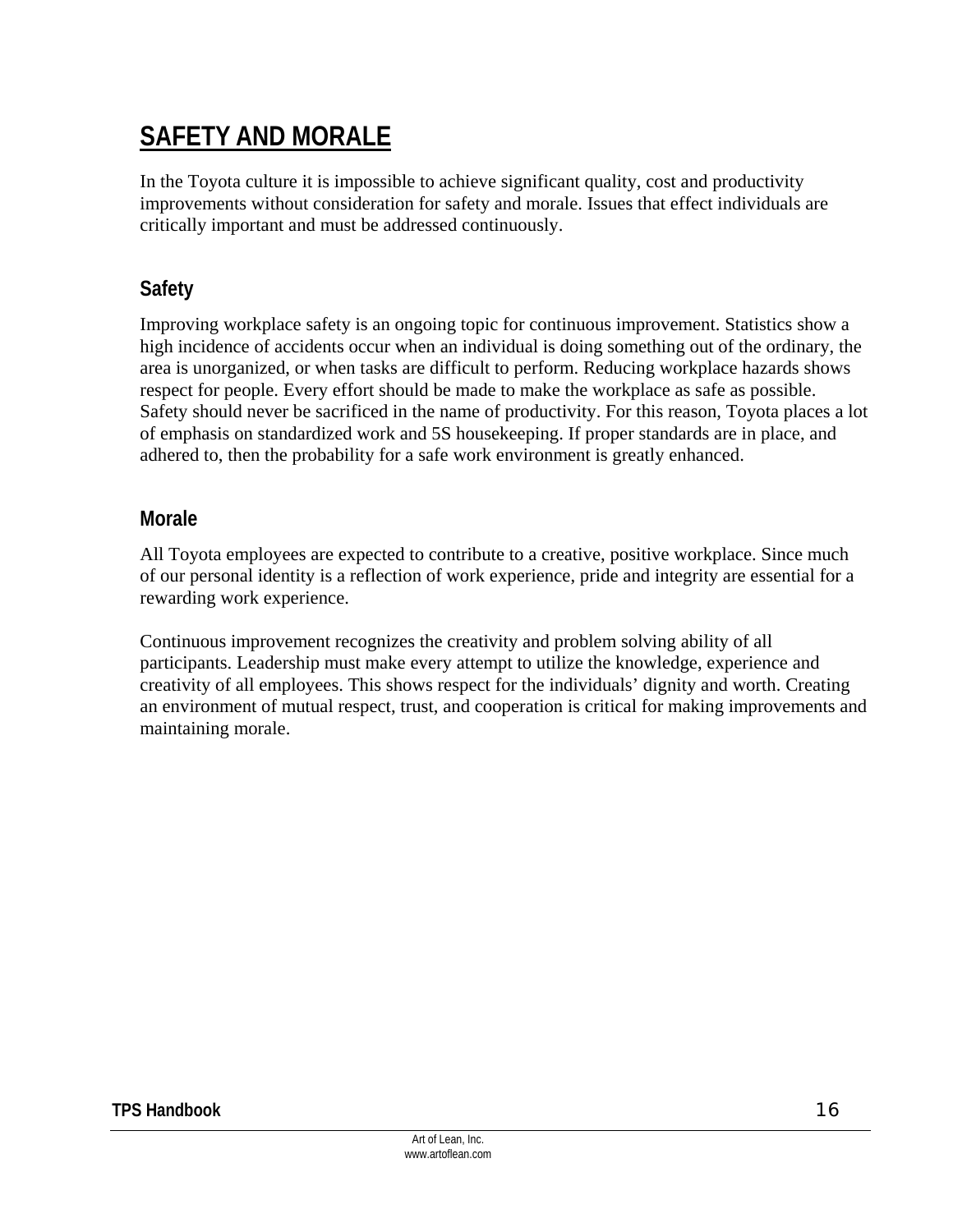## **SAFETY AND MORALE**

In the Toyota culture it is impossible to achieve significant quality, cost and productivity improvements without consideration for safety and morale. Issues that effect individuals are critically important and must be addressed continuously.

## **Safety**

Improving workplace safety is an ongoing topic for continuous improvement. Statistics show a high incidence of accidents occur when an individual is doing something out of the ordinary, the area is unorganized, or when tasks are difficult to perform. Reducing workplace hazards shows respect for people. Every effort should be made to make the workplace as safe as possible. Safety should never be sacrificed in the name of productivity. For this reason, Toyota places a lot of emphasis on standardized work and 5S housekeeping. If proper standards are in place, and adhered to, then the probability for a safe work environment is greatly enhanced.

#### **Morale**

All Toyota employees are expected to contribute to a creative, positive workplace. Since much of our personal identity is a reflection of work experience, pride and integrity are essential for a rewarding work experience.

Continuous improvement recognizes the creativity and problem solving ability of all participants. Leadership must make every attempt to utilize the knowledge, experience and creativity of all employees. This shows respect for the individuals' dignity and worth. Creating an environment of mutual respect, trust, and cooperation is critical for making improvements and maintaining morale.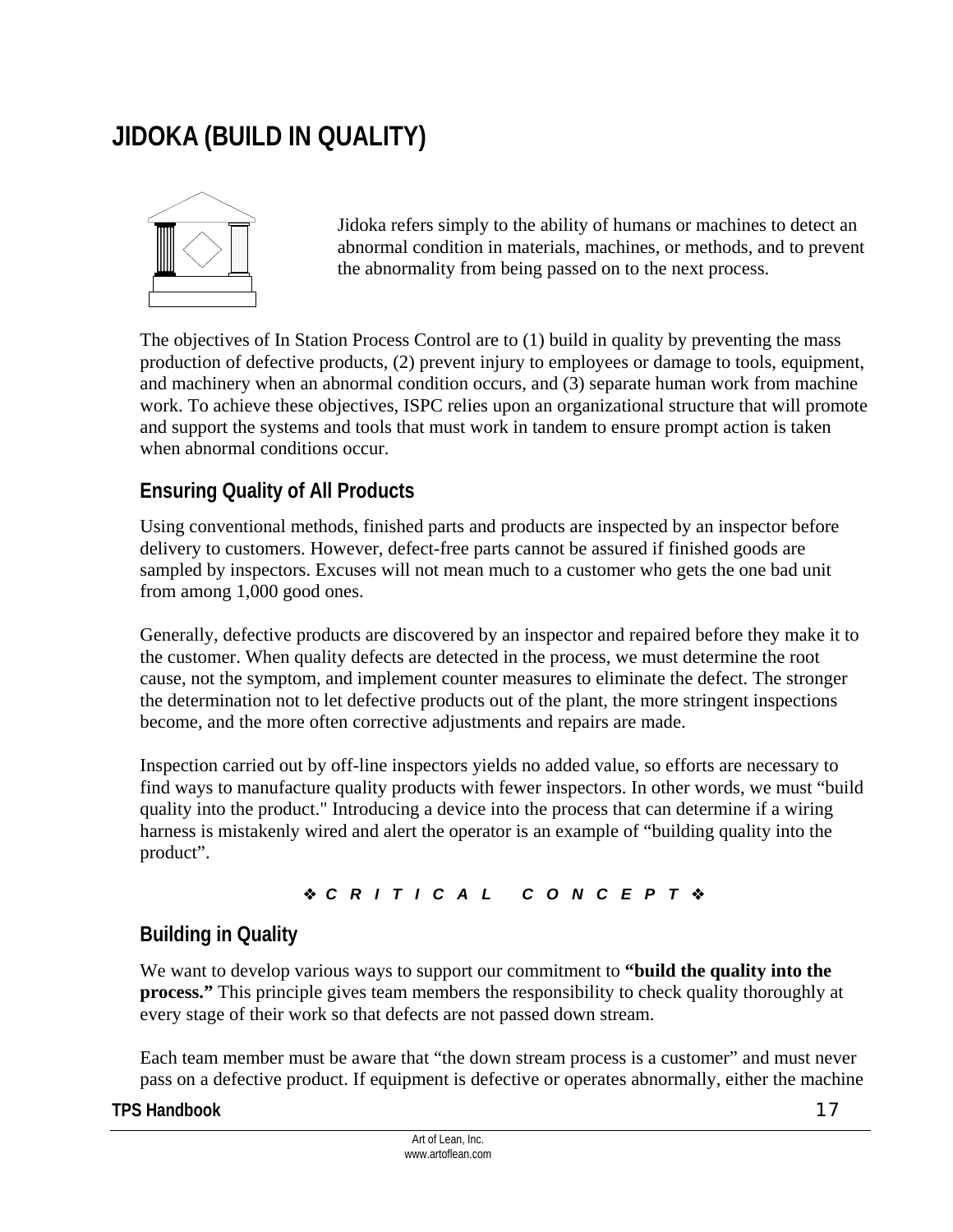## **JIDOKA (BUILD IN QUALITY)**



Jidoka refers simply to the ability of humans or machines to detect an abnormal condition in materials, machines, or methods, and to prevent the abnormality from being passed on to the next process.

The objectives of In Station Process Control are to (1) build in quality by preventing the mass production of defective products, (2) prevent injury to employees or damage to tools, equipment, and machinery when an abnormal condition occurs, and (3) separate human work from machine work. To achieve these objectives, ISPC relies upon an organizational structure that will promote and support the systems and tools that must work in tandem to ensure prompt action is taken when abnormal conditions occur.

### **Ensuring Quality of All Products**

Using conventional methods, finished parts and products are inspected by an inspector before delivery to customers. However, defect-free parts cannot be assured if finished goods are sampled by inspectors. Excuses will not mean much to a customer who gets the one bad unit from among 1,000 good ones.

Generally, defective products are discovered by an inspector and repaired before they make it to the customer. When quality defects are detected in the process, we must determine the root cause, not the symptom, and implement counter measures to eliminate the defect. The stronger the determination not to let defective products out of the plant, the more stringent inspections become, and the more often corrective adjustments and repairs are made.

Inspection carried out by off-line inspectors yields no added value, so efforts are necessary to find ways to manufacture quality products with fewer inspectors. In other words, we must "build quality into the product." Introducing a device into the process that can determine if a wiring harness is mistakenly wired and alert the operator is an example of "building quality into the product".

#### *CRITICAL CONCEPT*

### **Building in Quality**

We want to develop various ways to support our commitment to **"build the quality into the process."** This principle gives team members the responsibility to check quality thoroughly at every stage of their work so that defects are not passed down stream.

Each team member must be aware that "the down stream process is a customer" and must never pass on a defective product. If equipment is defective or operates abnormally, either the machine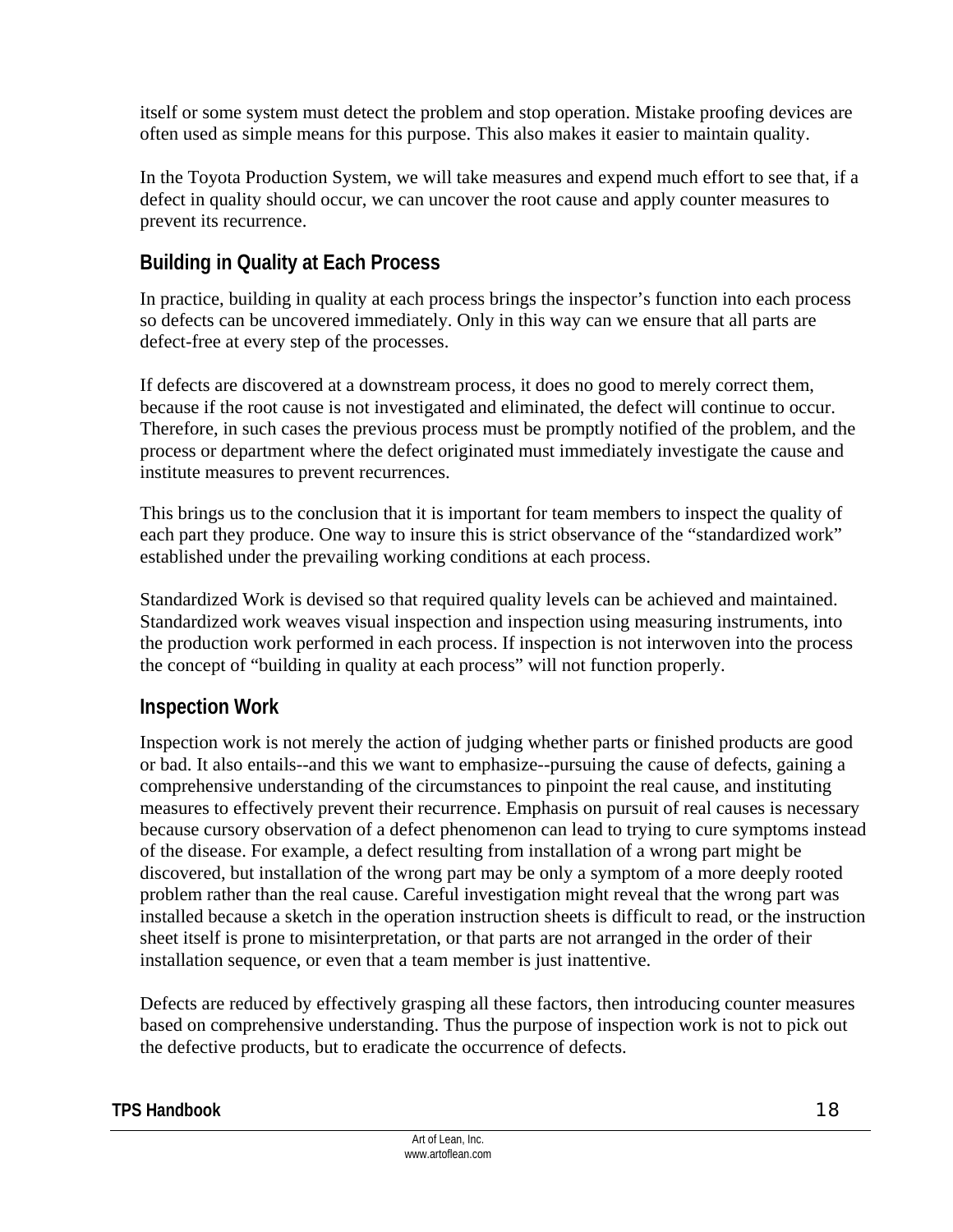itself or some system must detect the problem and stop operation. Mistake proofing devices are often used as simple means for this purpose. This also makes it easier to maintain quality.

In the Toyota Production System, we will take measures and expend much effort to see that, if a defect in quality should occur, we can uncover the root cause and apply counter measures to prevent its recurrence.

## **Building in Quality at Each Process**

In practice, building in quality at each process brings the inspector's function into each process so defects can be uncovered immediately. Only in this way can we ensure that all parts are defect-free at every step of the processes.

If defects are discovered at a downstream process, it does no good to merely correct them, because if the root cause is not investigated and eliminated, the defect will continue to occur. Therefore, in such cases the previous process must be promptly notified of the problem, and the process or department where the defect originated must immediately investigate the cause and institute measures to prevent recurrences.

This brings us to the conclusion that it is important for team members to inspect the quality of each part they produce. One way to insure this is strict observance of the "standardized work" established under the prevailing working conditions at each process.

Standardized Work is devised so that required quality levels can be achieved and maintained. Standardized work weaves visual inspection and inspection using measuring instruments, into the production work performed in each process. If inspection is not interwoven into the process the concept of "building in quality at each process" will not function properly.

### **Inspection Work**

Inspection work is not merely the action of judging whether parts or finished products are good or bad. It also entails--and this we want to emphasize--pursuing the cause of defects, gaining a comprehensive understanding of the circumstances to pinpoint the real cause, and instituting measures to effectively prevent their recurrence. Emphasis on pursuit of real causes is necessary because cursory observation of a defect phenomenon can lead to trying to cure symptoms instead of the disease. For example, a defect resulting from installation of a wrong part might be discovered, but installation of the wrong part may be only a symptom of a more deeply rooted problem rather than the real cause. Careful investigation might reveal that the wrong part was installed because a sketch in the operation instruction sheets is difficult to read, or the instruction sheet itself is prone to misinterpretation, or that parts are not arranged in the order of their installation sequence, or even that a team member is just inattentive.

Defects are reduced by effectively grasping all these factors, then introducing counter measures based on comprehensive understanding. Thus the purpose of inspection work is not to pick out the defective products, but to eradicate the occurrence of defects.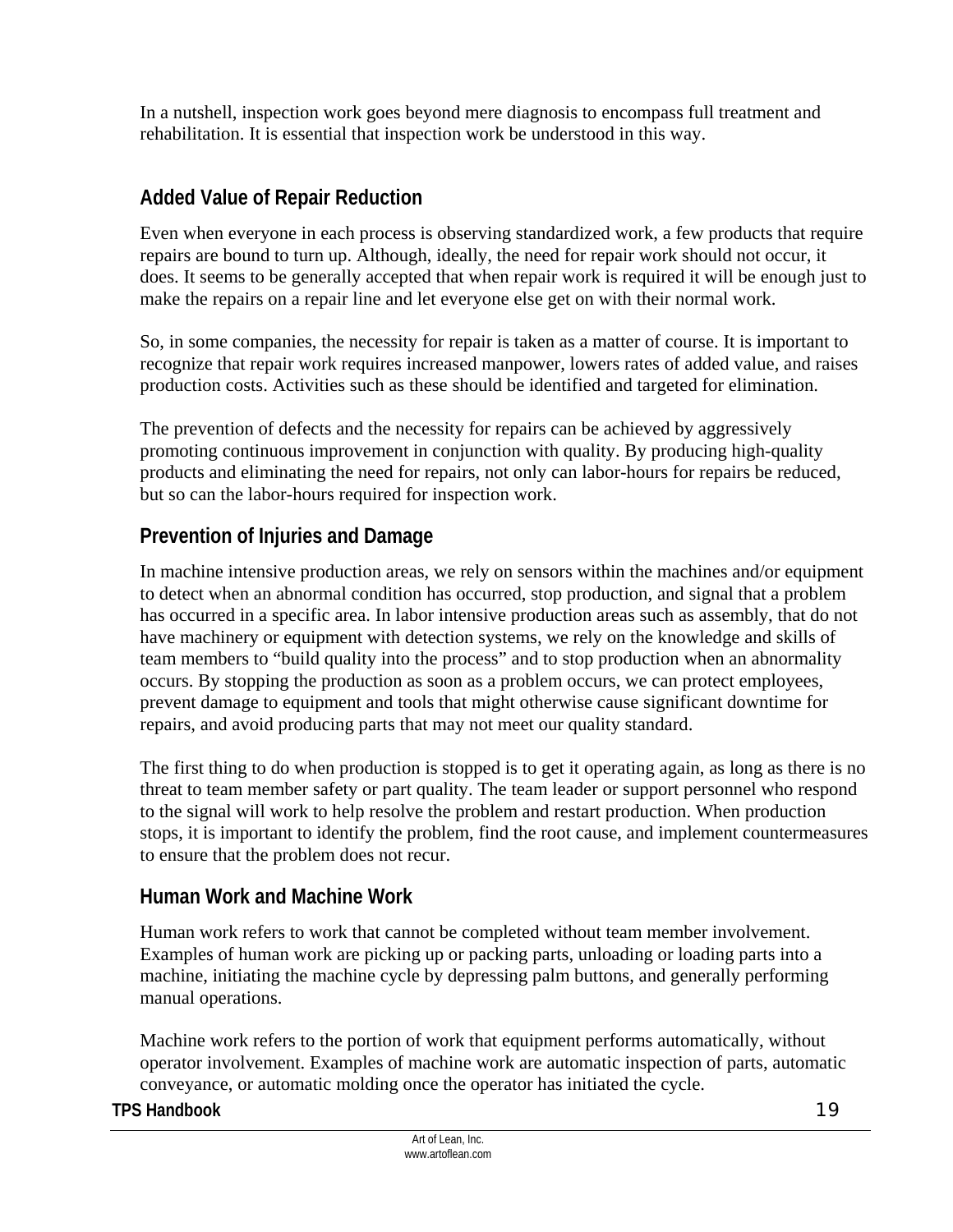In a nutshell, inspection work goes beyond mere diagnosis to encompass full treatment and rehabilitation. It is essential that inspection work be understood in this way.

## **Added Value of Repair Reduction**

Even when everyone in each process is observing standardized work, a few products that require repairs are bound to turn up. Although, ideally, the need for repair work should not occur, it does. It seems to be generally accepted that when repair work is required it will be enough just to make the repairs on a repair line and let everyone else get on with their normal work.

So, in some companies, the necessity for repair is taken as a matter of course. It is important to recognize that repair work requires increased manpower, lowers rates of added value, and raises production costs. Activities such as these should be identified and targeted for elimination.

The prevention of defects and the necessity for repairs can be achieved by aggressively promoting continuous improvement in conjunction with quality. By producing high-quality products and eliminating the need for repairs, not only can labor-hours for repairs be reduced, but so can the labor-hours required for inspection work.

## **Prevention of Injuries and Damage**

In machine intensive production areas, we rely on sensors within the machines and/or equipment to detect when an abnormal condition has occurred, stop production, and signal that a problem has occurred in a specific area. In labor intensive production areas such as assembly, that do not have machinery or equipment with detection systems, we rely on the knowledge and skills of team members to "build quality into the process" and to stop production when an abnormality occurs. By stopping the production as soon as a problem occurs, we can protect employees, prevent damage to equipment and tools that might otherwise cause significant downtime for repairs, and avoid producing parts that may not meet our quality standard.

The first thing to do when production is stopped is to get it operating again, as long as there is no threat to team member safety or part quality. The team leader or support personnel who respond to the signal will work to help resolve the problem and restart production. When production stops, it is important to identify the problem, find the root cause, and implement countermeasures to ensure that the problem does not recur.

### **Human Work and Machine Work**

Human work refers to work that cannot be completed without team member involvement. Examples of human work are picking up or packing parts, unloading or loading parts into a machine, initiating the machine cycle by depressing palm buttons, and generally performing manual operations.

Machine work refers to the portion of work that equipment performs automatically, without operator involvement. Examples of machine work are automatic inspection of parts, automatic conveyance, or automatic molding once the operator has initiated the cycle.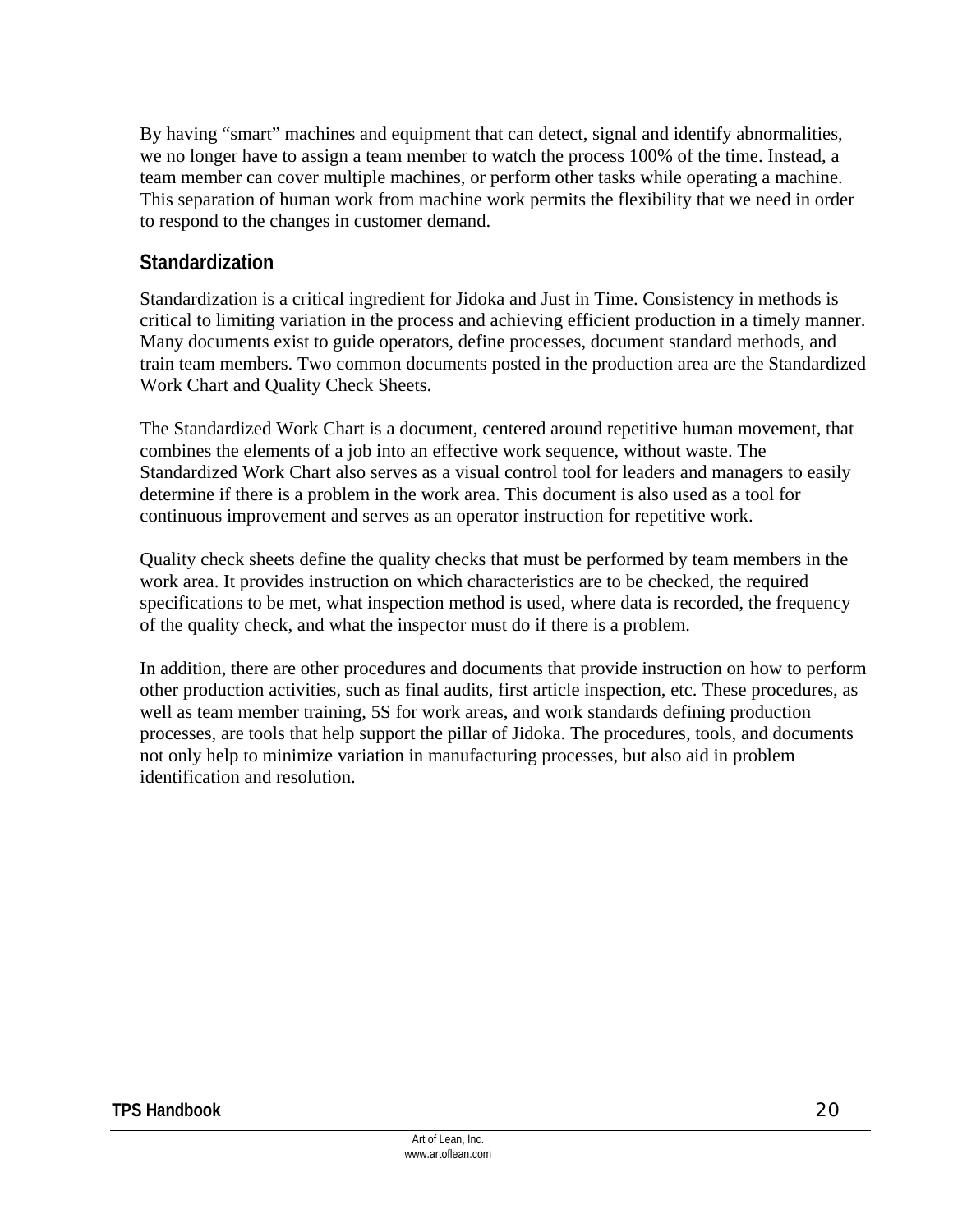By having "smart" machines and equipment that can detect, signal and identify abnormalities, we no longer have to assign a team member to watch the process 100% of the time. Instead, a team member can cover multiple machines, or perform other tasks while operating a machine. This separation of human work from machine work permits the flexibility that we need in order to respond to the changes in customer demand.

### **Standardization**

Standardization is a critical ingredient for Jidoka and Just in Time. Consistency in methods is critical to limiting variation in the process and achieving efficient production in a timely manner. Many documents exist to guide operators, define processes, document standard methods, and train team members. Two common documents posted in the production area are the Standardized Work Chart and Quality Check Sheets.

The Standardized Work Chart is a document, centered around repetitive human movement, that combines the elements of a job into an effective work sequence, without waste. The Standardized Work Chart also serves as a visual control tool for leaders and managers to easily determine if there is a problem in the work area. This document is also used as a tool for continuous improvement and serves as an operator instruction for repetitive work.

Quality check sheets define the quality checks that must be performed by team members in the work area. It provides instruction on which characteristics are to be checked, the required specifications to be met, what inspection method is used, where data is recorded, the frequency of the quality check, and what the inspector must do if there is a problem.

In addition, there are other procedures and documents that provide instruction on how to perform other production activities, such as final audits, first article inspection, etc. These procedures, as well as team member training, 5S for work areas, and work standards defining production processes, are tools that help support the pillar of Jidoka. The procedures, tools, and documents not only help to minimize variation in manufacturing processes, but also aid in problem identification and resolution.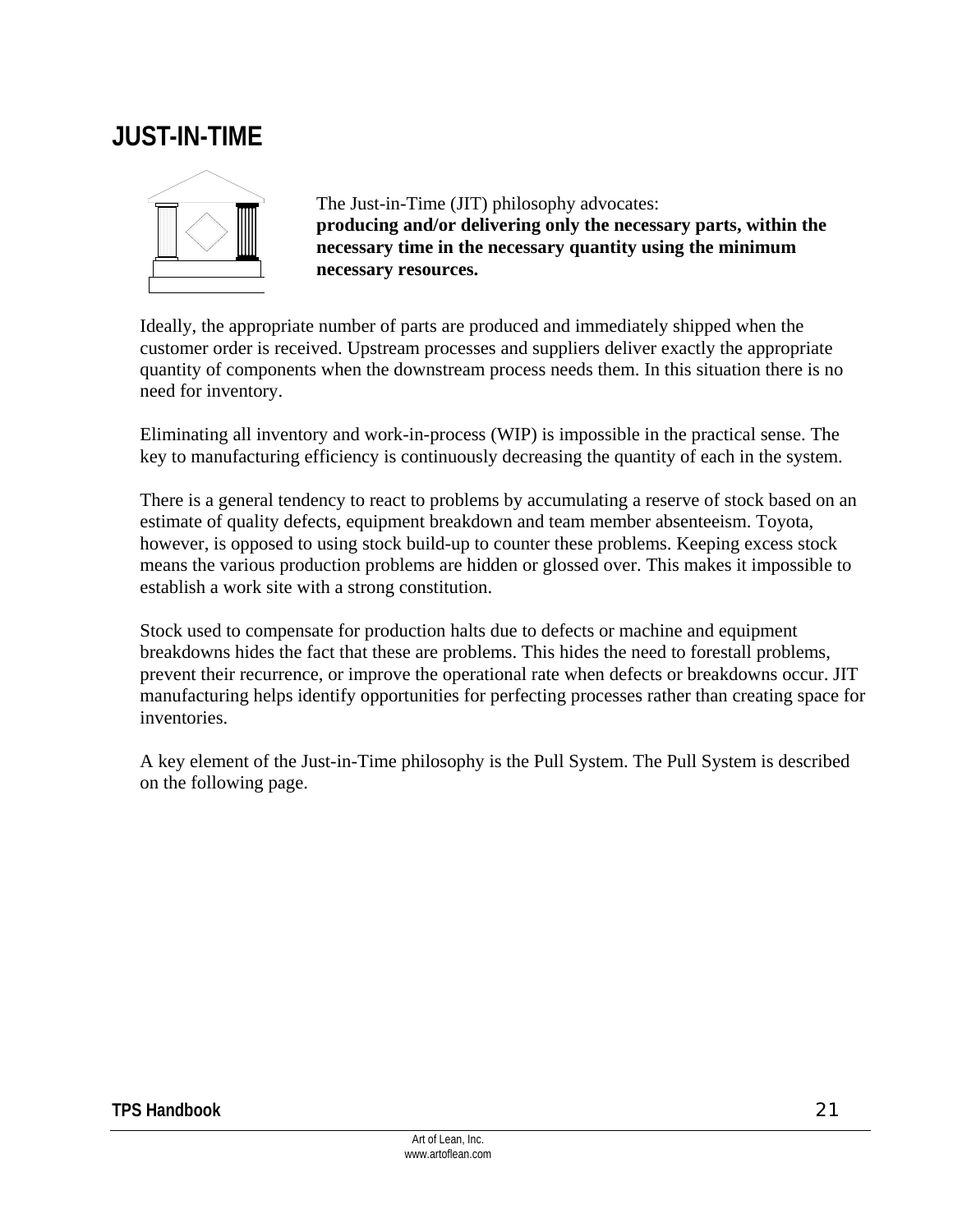## **JUST-IN-TIME**



The Just-in-Time (JIT) philosophy advocates: **producing and/or delivering only the necessary parts, within the necessary time in the necessary quantity using the minimum necessary resources.**

Ideally, the appropriate number of parts are produced and immediately shipped when the customer order is received. Upstream processes and suppliers deliver exactly the appropriate quantity of components when the downstream process needs them. In this situation there is no need for inventory.

Eliminating all inventory and work-in-process (WIP) is impossible in the practical sense. The key to manufacturing efficiency is continuously decreasing the quantity of each in the system.

There is a general tendency to react to problems by accumulating a reserve of stock based on an estimate of quality defects, equipment breakdown and team member absenteeism. Toyota, however, is opposed to using stock build-up to counter these problems. Keeping excess stock means the various production problems are hidden or glossed over. This makes it impossible to establish a work site with a strong constitution.

Stock used to compensate for production halts due to defects or machine and equipment breakdowns hides the fact that these are problems. This hides the need to forestall problems, prevent their recurrence, or improve the operational rate when defects or breakdowns occur. JIT manufacturing helps identify opportunities for perfecting processes rather than creating space for inventories.

A key element of the Just-in-Time philosophy is the Pull System. The Pull System is described on the following page.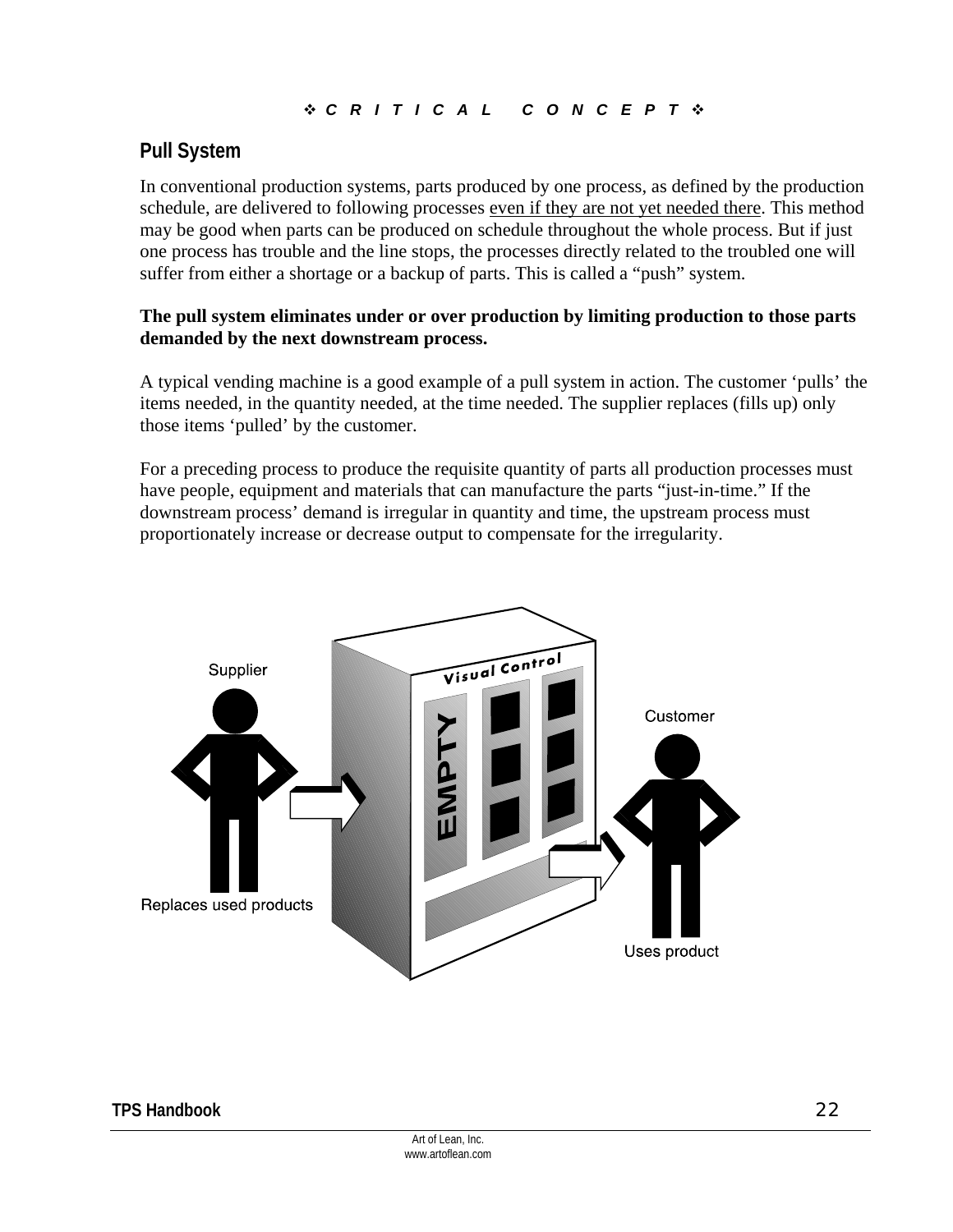#### *CRITICAL CONCEPT*

### **Pull System**

In conventional production systems, parts produced by one process, as defined by the production schedule, are delivered to following processes even if they are not yet needed there. This method may be good when parts can be produced on schedule throughout the whole process. But if just one process has trouble and the line stops, the processes directly related to the troubled one will suffer from either a shortage or a backup of parts. This is called a "push" system.

#### **The pull system eliminates under or over production by limiting production to those parts demanded by the next downstream process.**

A typical vending machine is a good example of a pull system in action. The customer 'pulls' the items needed, in the quantity needed, at the time needed. The supplier replaces (fills up) only those items 'pulled' by the customer.

For a preceding process to produce the requisite quantity of parts all production processes must have people, equipment and materials that can manufacture the parts "just-in-time." If the downstream process' demand is irregular in quantity and time, the upstream process must proportionately increase or decrease output to compensate for the irregularity.

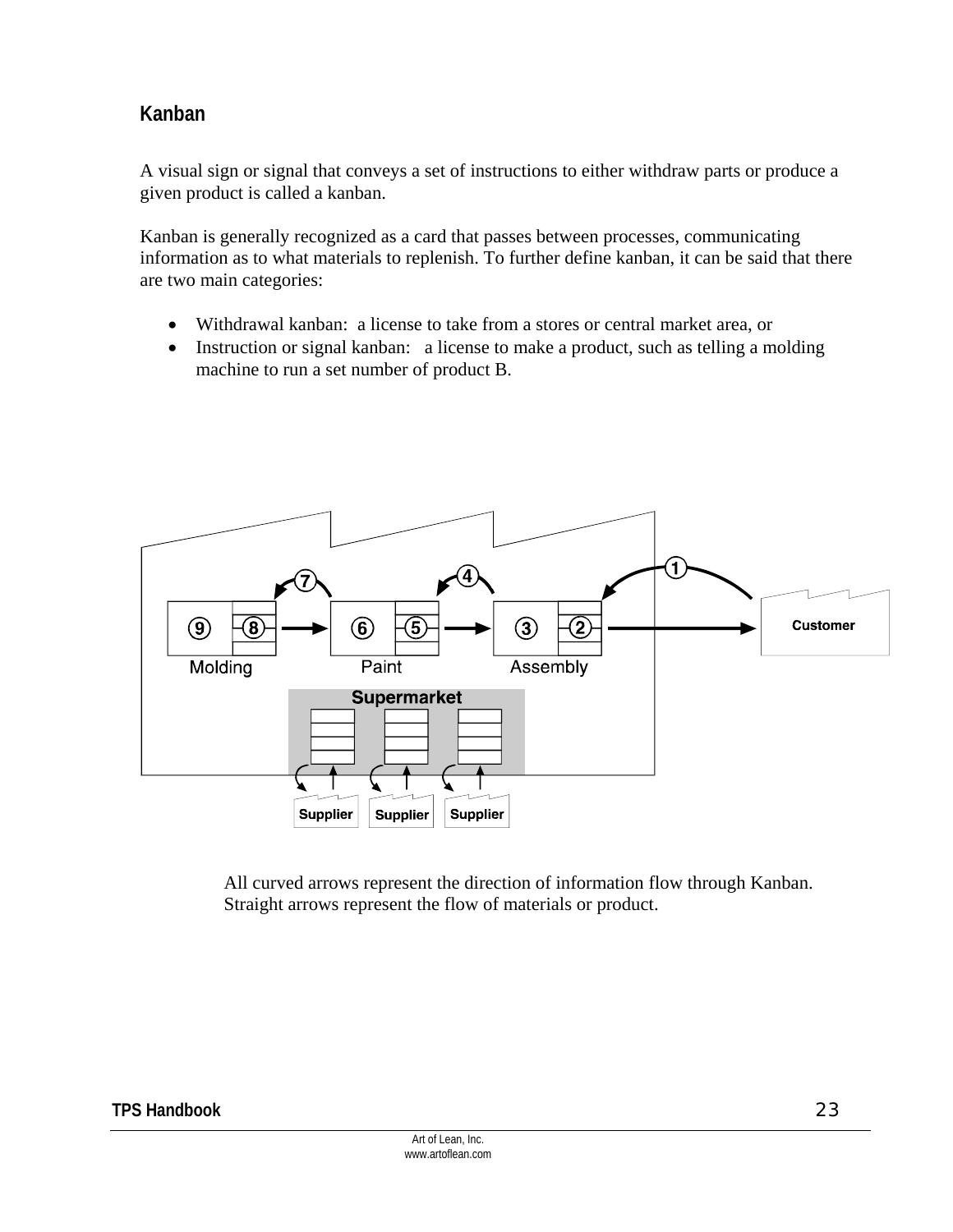## **Kanban**

A visual sign or signal that conveys a set of instructions to either withdraw parts or produce a given product is called a kanban.

Kanban is generally recognized as a card that passes between processes, communicating information as to what materials to replenish. To further define kanban, it can be said that there are two main categories:

- Withdrawal kanban: a license to take from a stores or central market area, or
- Instruction or signal kanban: a license to make a product, such as telling a molding machine to run a set number of product B.



All curved arrows represent the direction of information flow through Kanban. Straight arrows represent the flow of materials or product.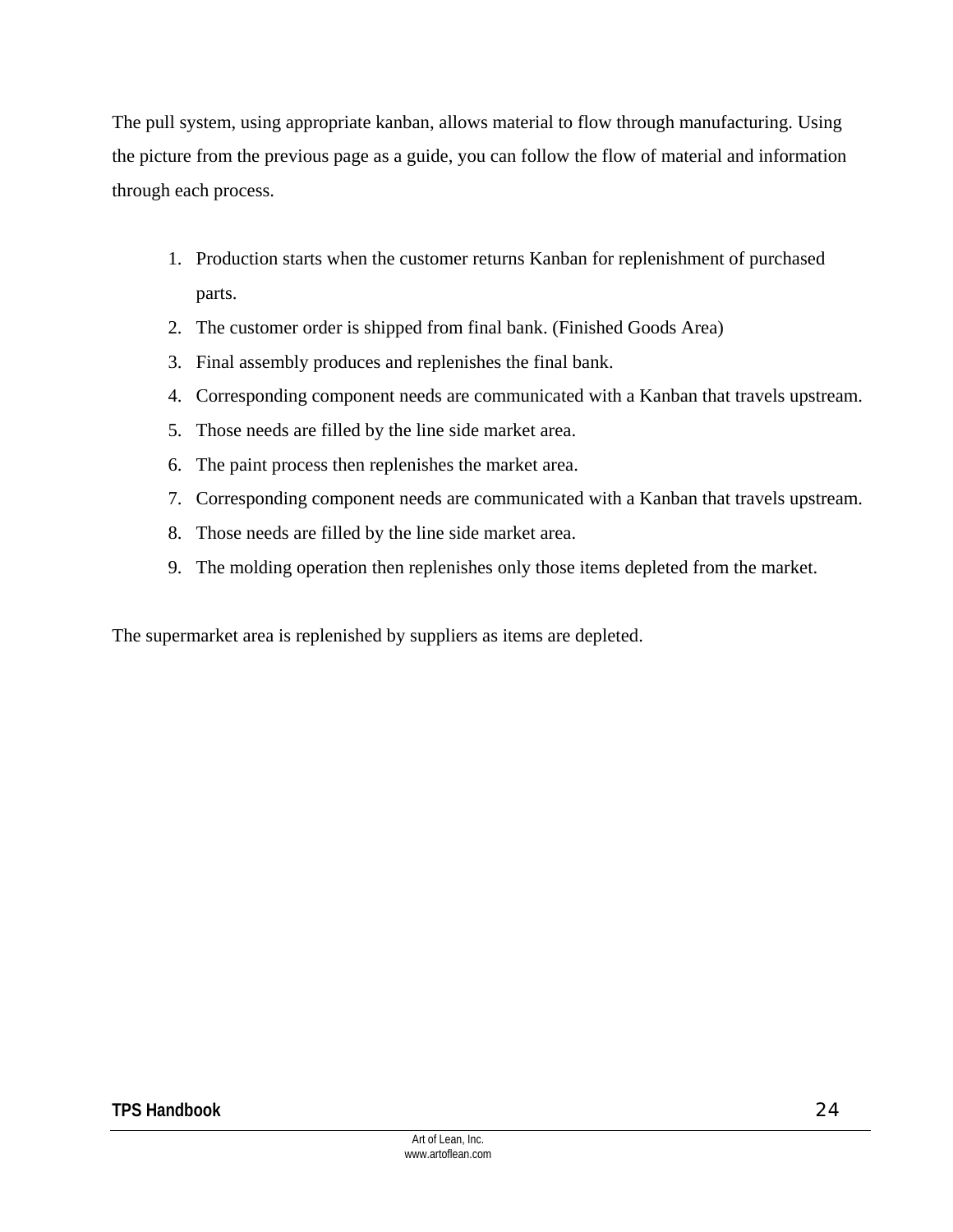The pull system, using appropriate kanban, allows material to flow through manufacturing. Using the picture from the previous page as a guide, you can follow the flow of material and information through each process.

- 1. Production starts when the customer returns Kanban for replenishment of purchased parts.
- 2. The customer order is shipped from final bank. (Finished Goods Area)
- 3. Final assembly produces and replenishes the final bank.
- 4. Corresponding component needs are communicated with a Kanban that travels upstream.
- 5. Those needs are filled by the line side market area.
- 6. The paint process then replenishes the market area.
- 7. Corresponding component needs are communicated with a Kanban that travels upstream.
- 8. Those needs are filled by the line side market area.
- 9. The molding operation then replenishes only those items depleted from the market.

The supermarket area is replenished by suppliers as items are depleted.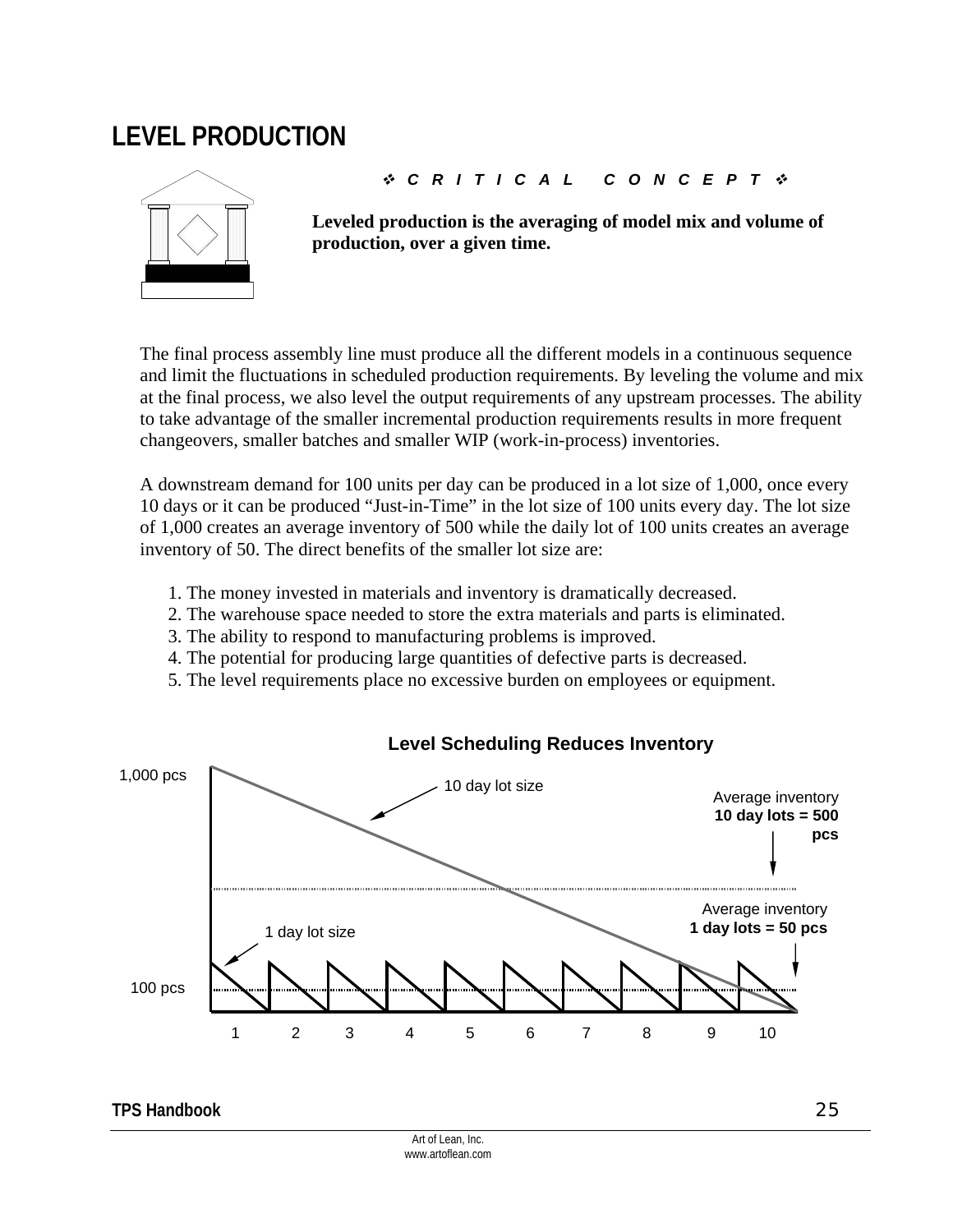## **LEVEL PRODUCTION**



#### *CRITICAL CONCEPT*

**Leveled production is the averaging of model mix and volume of production, over a given time.** 

The final process assembly line must produce all the different models in a continuous sequence and limit the fluctuations in scheduled production requirements. By leveling the volume and mix at the final process, we also level the output requirements of any upstream processes. The ability to take advantage of the smaller incremental production requirements results in more frequent changeovers, smaller batches and smaller WIP (work-in-process) inventories.

A downstream demand for 100 units per day can be produced in a lot size of 1,000, once every 10 days or it can be produced "Just-in-Time" in the lot size of 100 units every day. The lot size of 1,000 creates an average inventory of 500 while the daily lot of 100 units creates an average inventory of 50. The direct benefits of the smaller lot size are:

- 1. The money invested in materials and inventory is dramatically decreased.
- 2. The warehouse space needed to store the extra materials and parts is eliminated.
- 3. The ability to respond to manufacturing problems is improved.
- 4. The potential for producing large quantities of defective parts is decreased.
- 5. The level requirements place no excessive burden on employees or equipment.



### **Level Scheduling Reduces Inventory**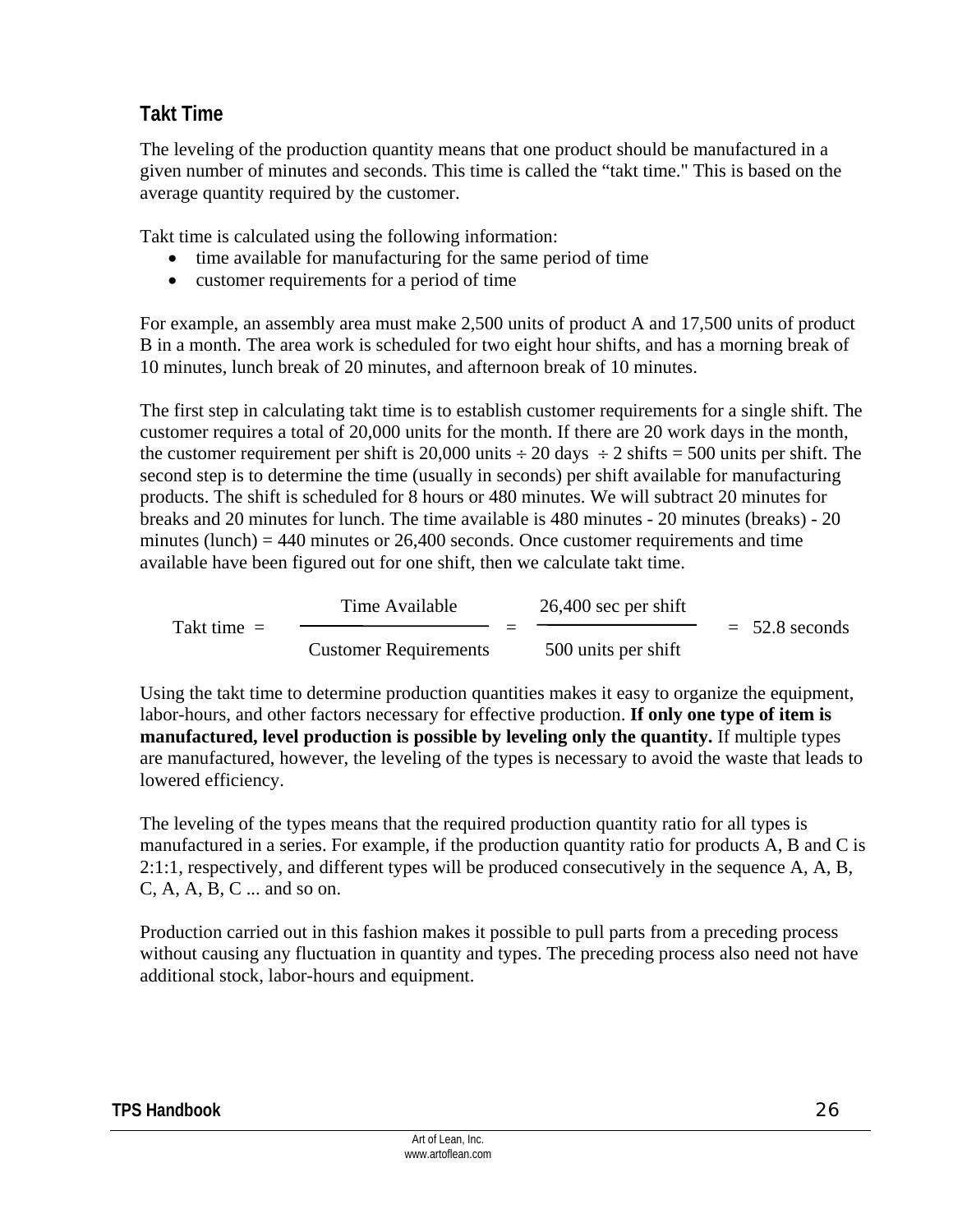## **Takt Time**

The leveling of the production quantity means that one product should be manufactured in a given number of minutes and seconds. This time is called the "takt time." This is based on the average quantity required by the customer.

Takt time is calculated using the following information:

- time available for manufacturing for the same period of time
- customer requirements for a period of time

For example, an assembly area must make 2,500 units of product A and 17,500 units of product B in a month. The area work is scheduled for two eight hour shifts, and has a morning break of 10 minutes, lunch break of 20 minutes, and afternoon break of 10 minutes.

The first step in calculating takt time is to establish customer requirements for a single shift. The customer requires a total of 20,000 units for the month. If there are 20 work days in the month, the customer requirement per shift is 20,000 units  $\div$  20 days  $\div$  2 shifts = 500 units per shift. The second step is to determine the time (usually in seconds) per shift available for manufacturing products. The shift is scheduled for 8 hours or 480 minutes. We will subtract 20 minutes for breaks and 20 minutes for lunch. The time available is 480 minutes - 20 minutes (breaks) - 20 minutes (lunch)  $=$  440 minutes or 26,400 seconds. Once customer requirements and time available have been figured out for one shift, then we calculate takt time.

|               | Time Available               | $26,400$ sec per shift |                  |
|---------------|------------------------------|------------------------|------------------|
| Takt time $=$ |                              |                        | $= 52.8$ seconds |
|               | <b>Customer Requirements</b> | 500 units per shift    |                  |

Using the takt time to determine production quantities makes it easy to organize the equipment, labor-hours, and other factors necessary for effective production. **If only one type of item is manufactured, level production is possible by leveling only the quantity.** If multiple types are manufactured, however, the leveling of the types is necessary to avoid the waste that leads to lowered efficiency.

The leveling of the types means that the required production quantity ratio for all types is manufactured in a series. For example, if the production quantity ratio for products A, B and C is 2:1:1, respectively, and different types will be produced consecutively in the sequence A, A, B, C, A, A, B, C ... and so on.

Production carried out in this fashion makes it possible to pull parts from a preceding process without causing any fluctuation in quantity and types. The preceding process also need not have additional stock, labor-hours and equipment.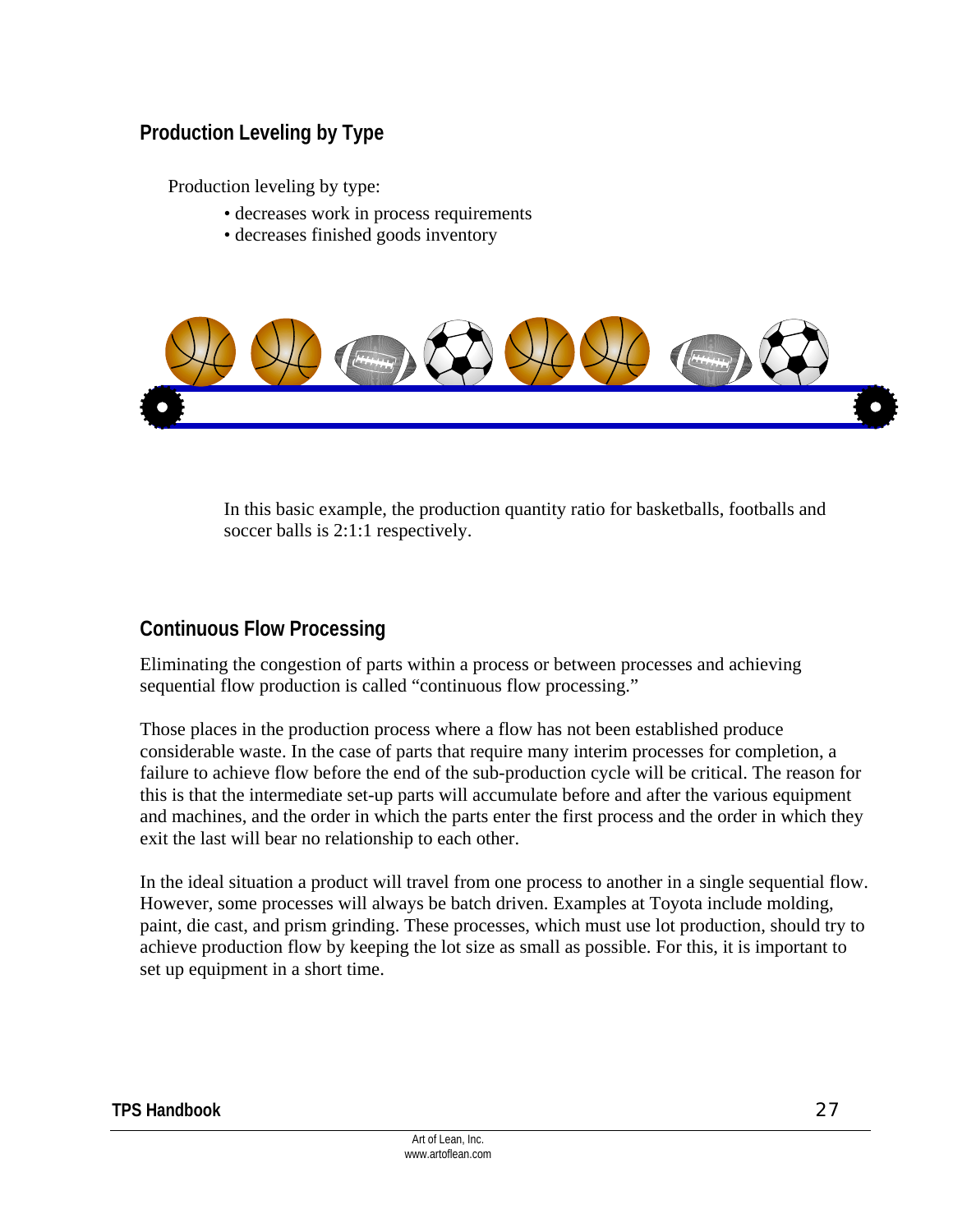## **Production Leveling by Type**

Production leveling by type:

- decreases work in process requirements
- decreases finished goods inventory



In this basic example, the production quantity ratio for basketballs, footballs and soccer balls is 2:1:1 respectively.

### **Continuous Flow Processing**

Eliminating the congestion of parts within a process or between processes and achieving sequential flow production is called "continuous flow processing."

Those places in the production process where a flow has not been established produce considerable waste. In the case of parts that require many interim processes for completion, a failure to achieve flow before the end of the sub-production cycle will be critical. The reason for this is that the intermediate set-up parts will accumulate before and after the various equipment and machines, and the order in which the parts enter the first process and the order in which they exit the last will bear no relationship to each other.

In the ideal situation a product will travel from one process to another in a single sequential flow. However, some processes will always be batch driven. Examples at Toyota include molding, paint, die cast, and prism grinding. These processes, which must use lot production, should try to achieve production flow by keeping the lot size as small as possible. For this, it is important to set up equipment in a short time.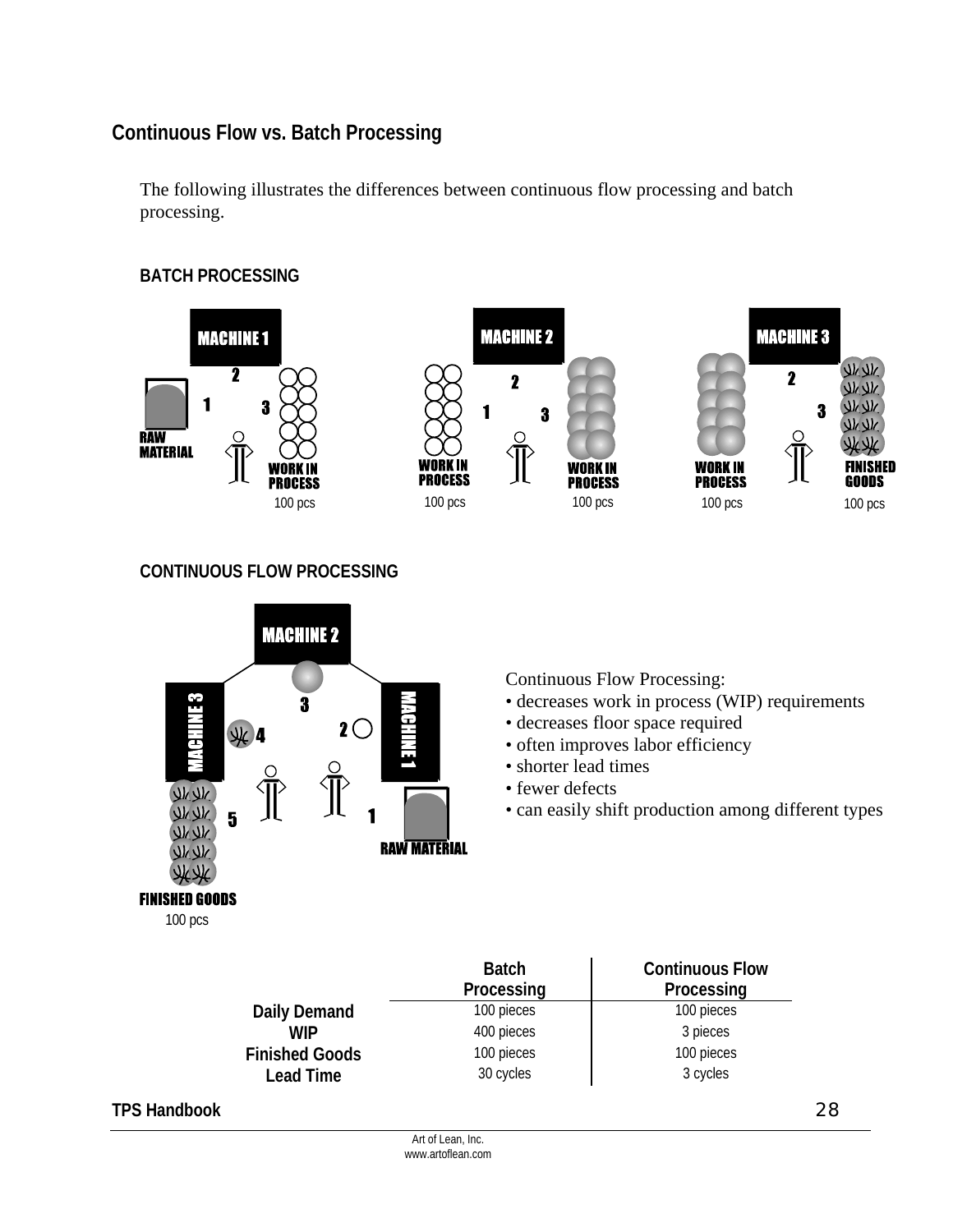## **Continuous Flow vs. Batch Processing**

The following illustrates the differences between continuous flow processing and batch processing.

#### **BATCH PROCESSING**



#### **CONTINUOUS FLOW PROCESSING**



Continuous Flow Processing: • decreases work in process (WIP) requirements

- decreases floor space required
- often improves labor efficiency
- shorter lead times
- fewer defects
- can easily shift production among different types

|                       | <b>Batch</b><br>Processing | <b>Continuous Flow</b><br>Processing |
|-----------------------|----------------------------|--------------------------------------|
| Daily Demand          | 100 pieces                 | 100 pieces                           |
| <b>WIP</b>            | 400 pieces                 | 3 pieces                             |
| <b>Finished Goods</b> | 100 pieces                 | 100 pieces                           |
| Lead Time             | 30 cycles                  | 3 cycles                             |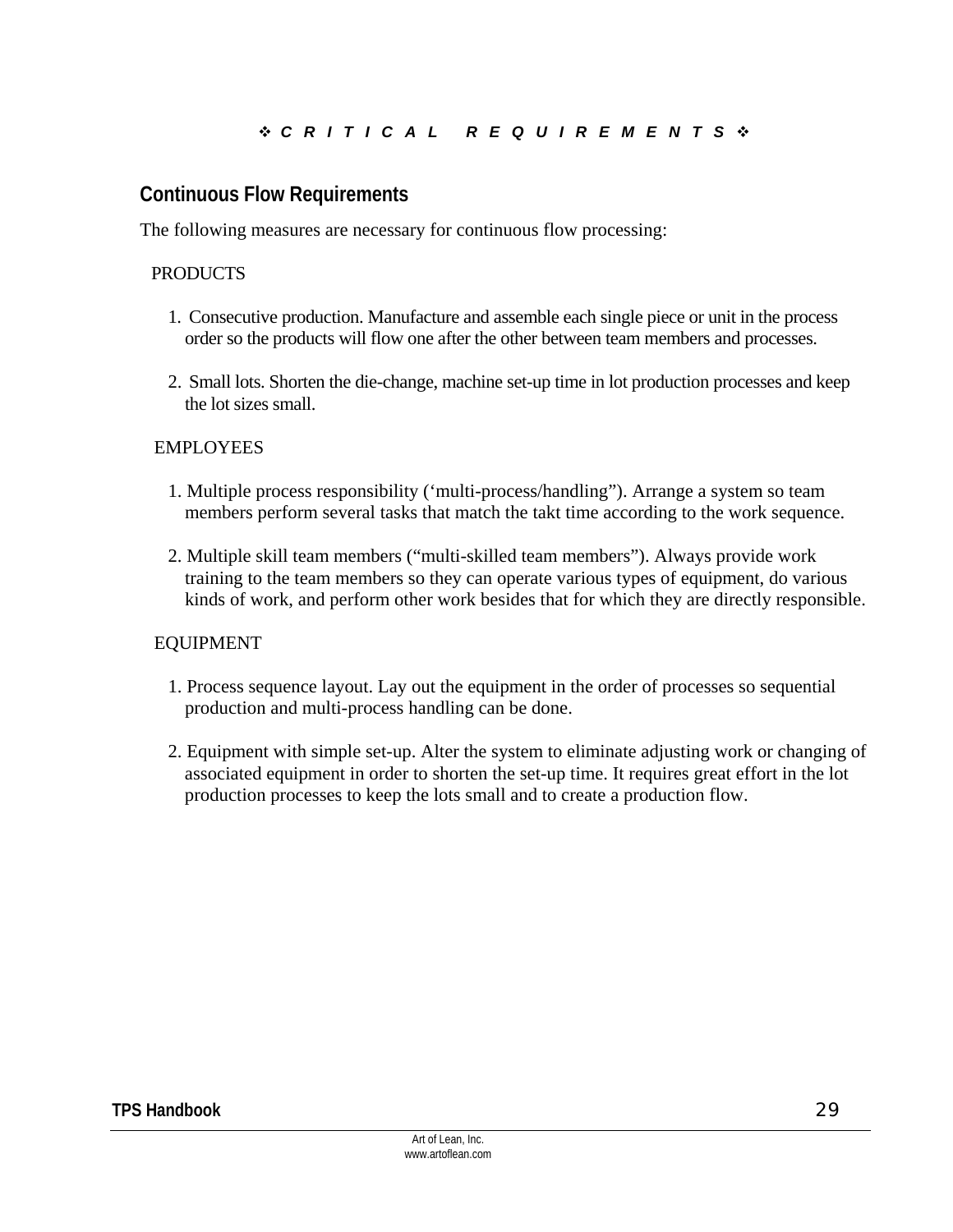### **Continuous Flow Requirements**

The following measures are necessary for continuous flow processing:

#### PRODUCTS

- 1. Consecutive production. Manufacture and assemble each single piece or unit in the process order so the products will flow one after the other between team members and processes.
- 2. Small lots. Shorten the die-change, machine set-up time in lot production processes and keep the lot sizes small.

#### EMPLOYEES

- 1. Multiple process responsibility ('multi-process/handling"). Arrange a system so team members perform several tasks that match the takt time according to the work sequence.
- 2. Multiple skill team members ("multi-skilled team members"). Always provide work training to the team members so they can operate various types of equipment, do various kinds of work, and perform other work besides that for which they are directly responsible.

#### EQUIPMENT

- 1. Process sequence layout. Lay out the equipment in the order of processes so sequential production and multi-process handling can be done.
- 2. Equipment with simple set-up. Alter the system to eliminate adjusting work or changing of associated equipment in order to shorten the set-up time. It requires great effort in the lot production processes to keep the lots small and to create a production flow.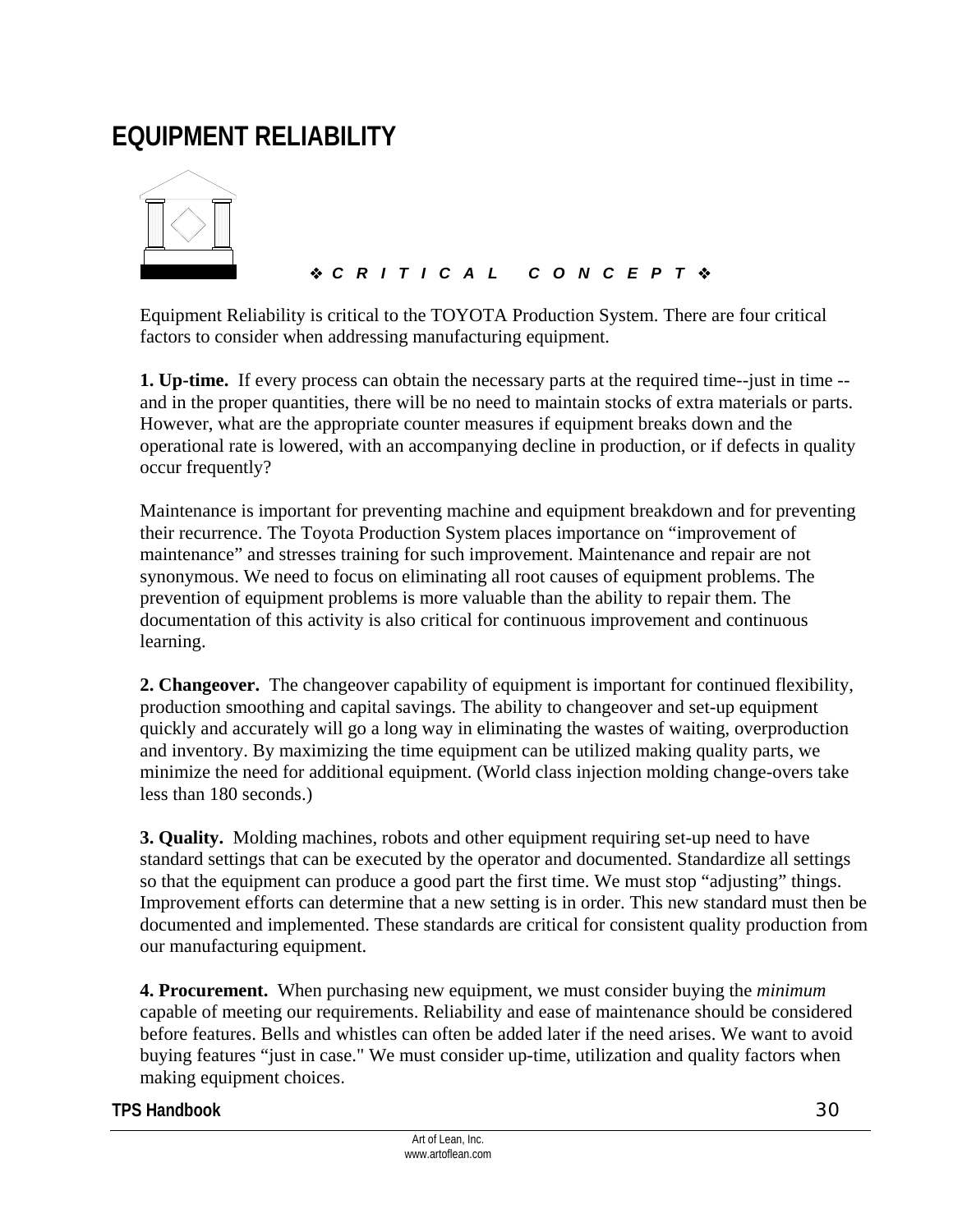## **EQUIPMENT RELIABILITY**



### *CRITICAL CONCEPT*

Equipment Reliability is critical to the TOYOTA Production System. There are four critical factors to consider when addressing manufacturing equipment.

**1. Up-time.** If every process can obtain the necessary parts at the required time--just in time - and in the proper quantities, there will be no need to maintain stocks of extra materials or parts. However, what are the appropriate counter measures if equipment breaks down and the operational rate is lowered, with an accompanying decline in production, or if defects in quality occur frequently?

Maintenance is important for preventing machine and equipment breakdown and for preventing their recurrence. The Toyota Production System places importance on "improvement of maintenance" and stresses training for such improvement. Maintenance and repair are not synonymous. We need to focus on eliminating all root causes of equipment problems. The prevention of equipment problems is more valuable than the ability to repair them. The documentation of this activity is also critical for continuous improvement and continuous learning.

**2. Changeover.** The changeover capability of equipment is important for continued flexibility, production smoothing and capital savings. The ability to changeover and set-up equipment quickly and accurately will go a long way in eliminating the wastes of waiting, overproduction and inventory. By maximizing the time equipment can be utilized making quality parts, we minimize the need for additional equipment. (World class injection molding change-overs take less than 180 seconds.)

**3. Quality.** Molding machines, robots and other equipment requiring set-up need to have standard settings that can be executed by the operator and documented. Standardize all settings so that the equipment can produce a good part the first time. We must stop "adjusting" things. Improvement efforts can determine that a new setting is in order. This new standard must then be documented and implemented. These standards are critical for consistent quality production from our manufacturing equipment.

**4. Procurement.** When purchasing new equipment, we must consider buying the *minimum*  capable of meeting our requirements. Reliability and ease of maintenance should be considered before features. Bells and whistles can often be added later if the need arises. We want to avoid buying features "just in case." We must consider up-time, utilization and quality factors when making equipment choices.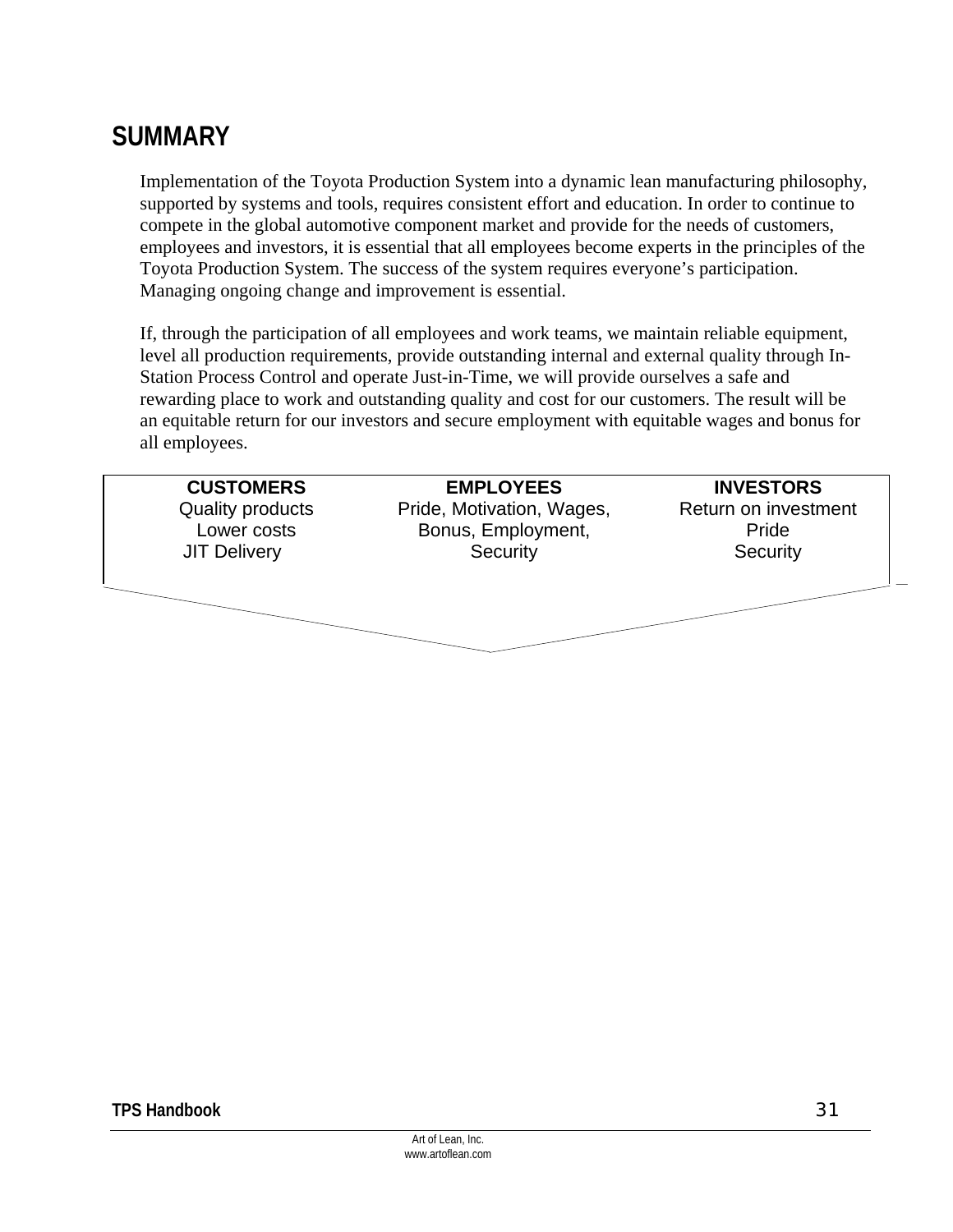## **SUMMARY**

Implementation of the Toyota Production System into a dynamic lean manufacturing philosophy, supported by systems and tools, requires consistent effort and education. In order to continue to compete in the global automotive component market and provide for the needs of customers, employees and investors, it is essential that all employees become experts in the principles of the Toyota Production System. The success of the system requires everyone's participation. Managing ongoing change and improvement is essential.

If, through the participation of all employees and work teams, we maintain reliable equipment, level all production requirements, provide outstanding internal and external quality through In-Station Process Control and operate Just-in-Time, we will provide ourselves a safe and rewarding place to work and outstanding quality and cost for our customers. The result will be an equitable return for our investors and secure employment with equitable wages and bonus for all employees.

| <b>EMPLOYEES</b>          | <b>INVESTORS</b>     |
|---------------------------|----------------------|
| Pride, Motivation, Wages, | Return on investment |
| Bonus, Employment,        | Pride                |
| Security                  | Security             |
|                           |                      |
|                           |                      |
|                           |                      |
|                           |                      |
|                           |                      |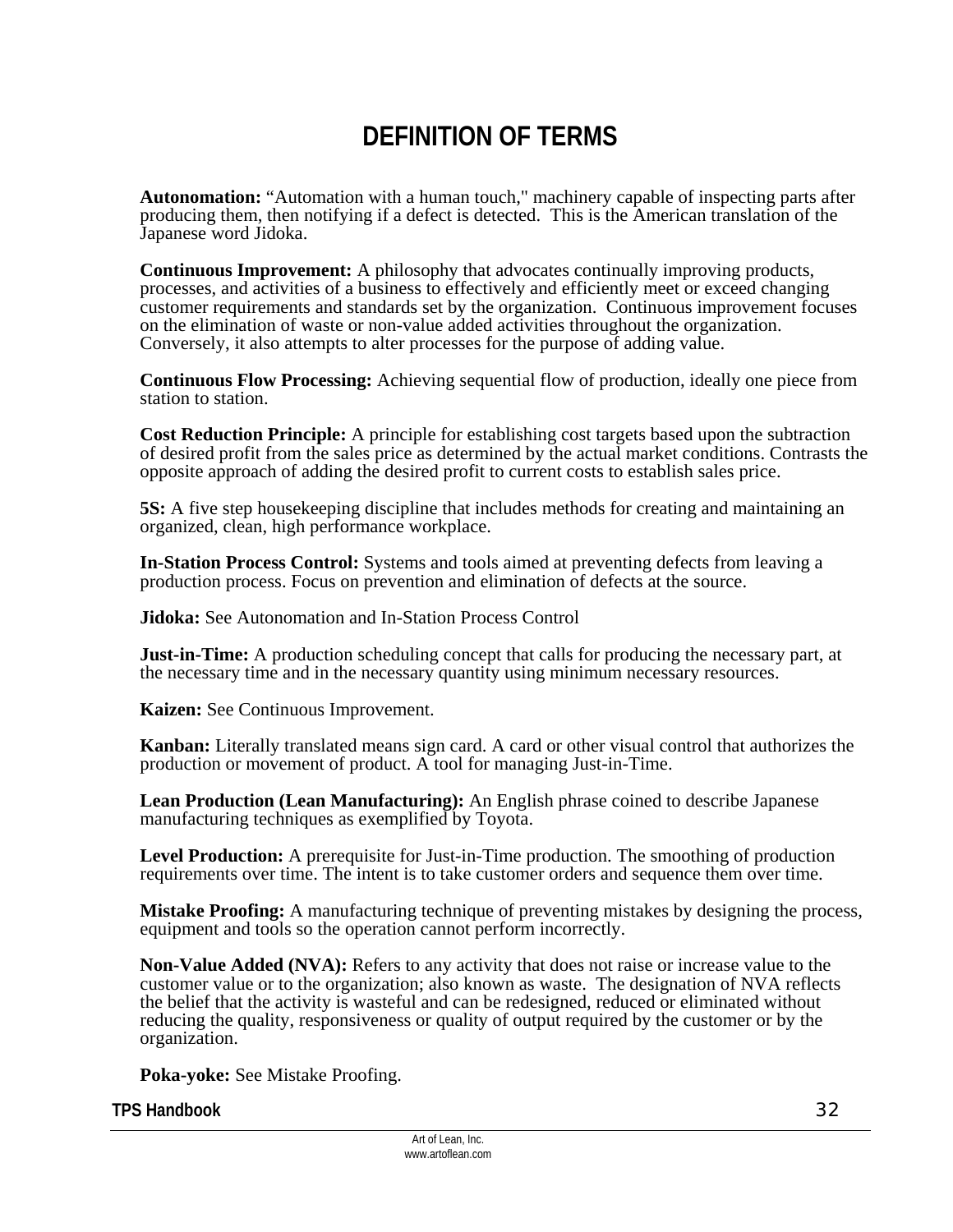## **DEFINITION OF TERMS**

**Autonomation:** "Automation with a human touch," machinery capable of inspecting parts after producing them, then notifying if a defect is detected. This is the American translation of the Japanese word Jidoka.

**Continuous Improvement:** A philosophy that advocates continually improving products, processes, and activities of a business to effectively and efficiently meet or exceed changing customer requirements and standards set by the organization. Continuous improvement focuses on the elimination of waste or non-value added activities throughout the organization. Conversely, it also attempts to alter processes for the purpose of adding value.

**Continuous Flow Processing:** Achieving sequential flow of production, ideally one piece from station to station.

**Cost Reduction Principle:** A principle for establishing cost targets based upon the subtraction of desired profit from the sales price as determined by the actual market conditions. Contrasts the opposite approach of adding the desired profit to current costs to establish sales price.

**5S:** A five step housekeeping discipline that includes methods for creating and maintaining an organized, clean, high performance workplace.

**In-Station Process Control:** Systems and tools aimed at preventing defects from leaving a production process. Focus on prevention and elimination of defects at the source.

**Jidoka:** See Autonomation and In-Station Process Control

**Just-in-Time:** A production scheduling concept that calls for producing the necessary part, at the necessary time and in the necessary quantity using minimum necessary resources.

**Kaizen:** See Continuous Improvement.

**Kanban:** Literally translated means sign card. A card or other visual control that authorizes the production or movement of product. A tool for managing Just-in-Time.

**Lean Production (Lean Manufacturing):** An English phrase coined to describe Japanese manufacturing techniques as exemplified by Toyota.

**Level Production:** A prerequisite for Just-in-Time production. The smoothing of production requirements over time. The intent is to take customer orders and sequence them over time.

**Mistake Proofing:** A manufacturing technique of preventing mistakes by designing the process, equipment and tools so the operation cannot perform incorrectly.

**Non-Value Added (NVA):** Refers to any activity that does not raise or increase value to the customer value or to the organization; also known as waste. The designation of NVA reflects the belief that the activity is wasteful and can be redesigned, reduced or eliminated without reducing the quality, responsiveness or quality of output required by the customer or by the organization.

**Poka-yoke:** See Mistake Proofing.